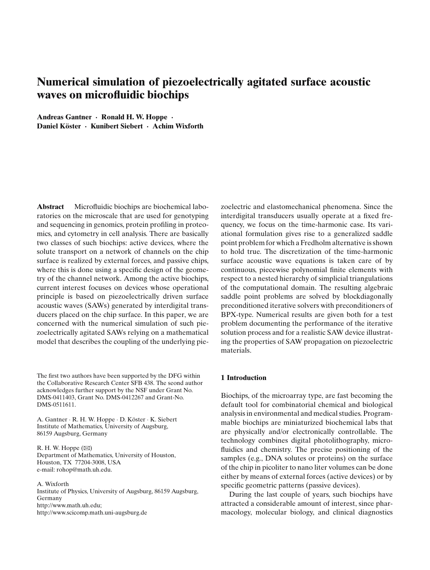# **Numerical simulation of piezoelectrically agitated surface acoustic waves on microfluidic biochips**

**Andreas Gantner · Ronald H. W. Hoppe · Daniel Köster · Kunibert Siebert · Achim Wixforth**

**Abstract** Microfluidic biochips are biochemical laboratories on the microscale that are used for genotyping and sequencing in genomics, protein profiling in proteomics, and cytometry in cell analysis. There are basically two classes of such biochips: active devices, where the solute transport on a network of channels on the chip surface is realized by external forces, and passive chips, where this is done using a specific design of the geometry of the channel network. Among the active biochips, current interest focuses on devices whose operational principle is based on piezoelectrically driven surface acoustic waves (SAWs) generated by interdigital transducers placed on the chip surface. In this paper, we are concerned with the numerical simulation of such piezoelectrically agitated SAWs relying on a mathematical model that describes the coupling of the underlying pie-

The first two authors have been supported by the DFG within the Collaborative Research Center SFB 438. The seond author acknowledges further support by the NSF under Grant No. DMS-0411403, Grant No. DMS-0412267 and Grant-No. DMS-0511611.

A. Gantner · R. H. W. Hoppe · D. Köster · K. Siebert Institute of Mathematics, University of Augsburg, 86159 Augsburg, Germany

R. H. W. Hoppe  $(\boxtimes)$ Department of Mathematics, University of Houston, Houston, TX 77204-3008, USA e-mail: rohop@math.uh.edu.

A. Wixforth Institute of Physics, University of Augsburg, 86159 Augsburg, Germany http://www.math.uh.edu; http://www.scicomp.math.uni-augsburg.de

zoelectric and elastomechanical phenomena. Since the interdigital transducers usually operate at a fixed frequency, we focus on the time-harmonic case. Its variational formulation gives rise to a generalized saddle point problem for which a Fredholm alternative isshown to hold true. The discretization of the time-harmonic surface acoustic wave equations is taken care of by continuous, piecewise polynomial finite elements with respect to a nested hierarchy of simplicial triangulations of the computational domain. The resulting algebraic saddle point problems are solved by blockdiagonally preconditioned iterative solvers with preconditioners of BPX-type. Numerical results are given both for a test problem documenting the performance of the iterative solution process and for a realistic SAW device illustrating the properties of SAW propagation on piezoelectric materials.

## **1 Introduction**

Biochips, of the microarray type, are fast becoming the default tool for combinatorial chemical and biological analysisin environmental and medicalstudies. Programmable biochips are miniaturized biochemical labs that are physically and/or electronically controllable. The technology combines digital photolithography, microfluidics and chemistry. The precise positioning of the samples (e.g., DNA solutes or proteins) on the surface of the chip in picoliter to nano liter volumes can be done either by means of external forces (active devices) or by specific geometric patterns (passive devices).

During the last couple of years, such biochips have attracted a considerable amount of interest, since pharmacology, molecular biology, and clinical diagnostics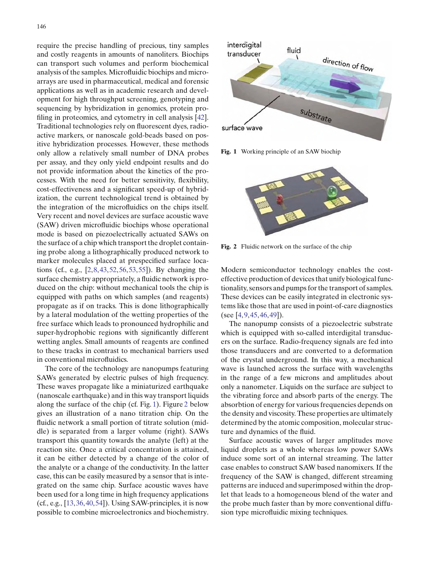require the precise handling of precious, tiny samples and costly reagents in amounts of nanoliters. Biochips can transport such volumes and perform biochemical analysis of the samples. Microfluidic biochips and microarrays are used in pharmaceutical, medical and forensic applications as well as in academic research and development for high throughput screening, genotyping and sequencing by hybridization in genomics, protein profiling in proteomics, and cytometry in cell analysis [\[42](#page-15-0)]. Traditional technologies rely on fluorescent dyes, radioactive markers, or nanoscale gold-beads based on positive hybridization processes. However, these methods only allow a relatively small number of DNA probes per assay, and they only yield endpoint results and do not provide information about the kinetics of the processes. With the need for better sensitivity, flexibility, cost-effectiveness and a significant speed-up of hybridization, the current technological trend is obtained by the integration of the microfluidics on the chips itself. Very recent and novel devices are surface acoustic wave (SAW) driven microfluidic biochips whose operational mode is based on piezoelectrically actuated SAWs on the surface of a chip which transport the droplet containing probe along a lithographically produced network to marker molecules placed at prespecified surface locations (cf., e.g., [\[2](#page-14-0),[8,](#page-15-1)[43](#page-15-2),[52,](#page-16-0)[56](#page-16-1)[,53](#page-16-2),[55\]](#page-16-3)). By changing the surface chemistry appropriately, a fluidic network is produced on the chip: without mechanical tools the chip is equipped with paths on which samples (and reagents) propagate as if on tracks. This is done lithographically by a lateral modulation of the wetting properties of the free surface which leads to pronounced hydrophilic and super-hydrophobic regions with significantly different wetting angles. Small amounts of reagents are confined to these tracks in contrast to mechanical barriers used in conventional microfluidics.

The core of the technology are nanopumps featuring SAWs generated by electric pulses of high frequency. These waves propagate like a miniaturized earthquake (nanoscale earthquake) and in this way transport liquids along the surface of the chip (cf. Fig. [1\)](#page-1-0). Figure [2](#page-1-1) below gives an illustration of a nano titration chip. On the fluidic network a small portion of titrate solution (middle) is separated from a larger volume (right). SAWs transport this quantity towards the analyte (left) at the reaction site. Once a critical concentration is attained, it can be either detected by a change of the color of the analyte or a change of the conductivity. In the latter case, this can be easily measured by a sensor that is integrated on the same chip. Surface acoustic waves have been used for a long time in high frequency applications (cf., e.g., [\[13](#page-15-3)[,36](#page-15-4),[40](#page-15-5)[,54](#page-16-4)]). Using SAW-principles, it is now possible to combine microelectronics and biochemistry.



<span id="page-1-0"></span>**Fig. 1** Working principle of an SAW biochip



**Fig. 2** Fluidic network on the surface of the chip

<span id="page-1-1"></span>Modern semiconductor technology enables the costeffective production of devices that unify biological functionality, sensors and pumps for the transport of samples. These devices can be easily integrated in electronic systemslike those that are used in point-of-care diagnostics (see  $[4, 9, 45, 46, 49]$  $[4, 9, 45, 46, 49]$  $[4, 9, 45, 46, 49]$  $[4, 9, 45, 46, 49]$  $[4, 9, 45, 46, 49]$  $[4, 9, 45, 46, 49]$  $[4, 9, 45, 46, 49]$  $[4, 9, 45, 46, 49]$  $[4, 9, 45, 46, 49]$  $[4, 9, 45, 46, 49]$ ).

The nanopump consists of a piezoelectric substrate which is equipped with so-called interdigital transducers on the surface. Radio-frequency signals are fed into those transducers and are converted to a deformation of the crystal underground. In this way, a mechanical wave is launched across the surface with wavelengths in the range of a few microns and amplitudes about only a nanometer. Liquids on the surface are subject to the vibrating force and absorb parts of the energy. The absorbtion of energy for variousfrequencies depends on the density and viscosity.These properties are ultimately determined by the atomic composition, molecular structure and dynamics of the fluid.

Surface acoustic waves of larger amplitudes move liquid droplets as a whole whereas low power SAWs induce some sort of an internal streaming. The latter case enables to construct SAW based nanomixers. If the frequency of the SAW is changed, different streaming patterns are induced and superimposed within the droplet that leads to a homogeneous blend of the water and the probe much faster than by more conventional diffusion type microfluidic mixing techniques.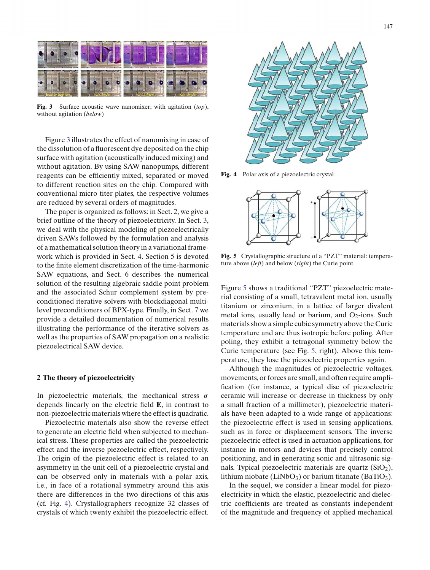

<span id="page-2-0"></span>**Fig. 3** Surface acoustic wave nanomixer; with agitation (*top*), without agitation (*below*)

Figure [3](#page-2-0) illustrates the effect of nanomixing in case of the dissolution of a fluorescent dye deposited on the chip surface with agitation (acoustically induced mixing) and without agitation. By using SAW nanopumps, different reagents can be efficiently mixed, separated or moved to different reaction sites on the chip. Compared with conventional micro titer plates, the respective volumes are reduced by several orders of magnitudes.

The paper is organized as follows: in Sect. 2, we give a brief outline of the theory of piezoelectricity. In Sect. 3, we deal with the physical modeling of piezoelectrically driven SAWs followed by the formulation and analysis of a mathematical solution theory in a variational framework which is provided in Sect. 4. Section 5 is devoted to the finite element discretization of the time-harmonic SAW equations, and Sect. 6 describes the numerical solution of the resulting algebraic saddle point problem and the associated Schur complement system by preconditioned iterative solvers with blockdiagonal multilevel preconditioners of BPX-type. Finally, in Sect. 7 we provide a detailed documentation of numerical results illustrating the performance of the iterative solvers as well as the properties of SAW propagation on a realistic piezoelectrical SAW device.

#### **2 The theory of piezoelectricity**

In piezoelectric materials, the mechanical stress *σ* depends linearly on the electric field **E**, in contrast to non-piezoelectric materials where the effectis quadratic.

Piezoelectric materials also show the reverse effect to generate an electric field when subjected to mechanical stress. These properties are called the piezoelectric effect and the inverse piezoelectric effect, respectively. The origin of the piezoelectric effect is related to an asymmetry in the unit cell of a piezoelectric crystal and can be observed only in materials with a polar axis, i.e., in face of a rotational symmetry around this axis there are differences in the two directions of this axis (cf. Fig. [4\)](#page-2-1). Crystallographers recognize 32 classes of crystals of which twenty exhibit the piezoelectric effect.



<span id="page-2-1"></span>**Fig. 4** Polar axis of a piezoelectric crystal



<span id="page-2-2"></span>**Fig. 5** Crystallographic structure of a "PZT" material: temperature above (*left*) and below (*right*) the Curie point

Figure [5](#page-2-2) shows a traditional "PZT" piezoelectric material consisting of a small, tetravalent metal ion, usually titanium or zirconium, in a lattice of larger divalent metal ions, usually lead or barium, and  $O<sub>2</sub>$ -ions. Such materials show a simple cubic symmetry above the Curie temperature and are thus isotropic before poling. After poling, they exhibit a tetragonal symmetry below the Curie temperature (see Fig. [5,](#page-2-2) right). Above this temperature, they lose the piezoelectric properties again.

Although the magnitudes of piezoelectric voltages, movements, or forces are small, and often require amplification (for instance, a typical disc of piezoelectric ceramic will increase or decrease in thickness by only a small fraction of a millimeter), piezoelectric materials have been adapted to a wide range of applications: the piezoelectric effect is used in sensing applications, such as in force or displacement sensors. The inverse piezoelectric effect is used in actuation applications, for instance in motors and devices that precisely control positioning, and in generating sonic and ultrasonic signals. Typical piezoelectric materials are quartz  $(SiO<sub>2</sub>)$ , lithium niobate (LiNbO<sub>3</sub>) or barium titanate (BaTiO<sub>3</sub>).

In the sequel, we consider a linear model for piezoelectricity in which the elastic, piezoelectric and dielectric coefficients are treated as constants independent of the magnitude and frequency of applied mechanical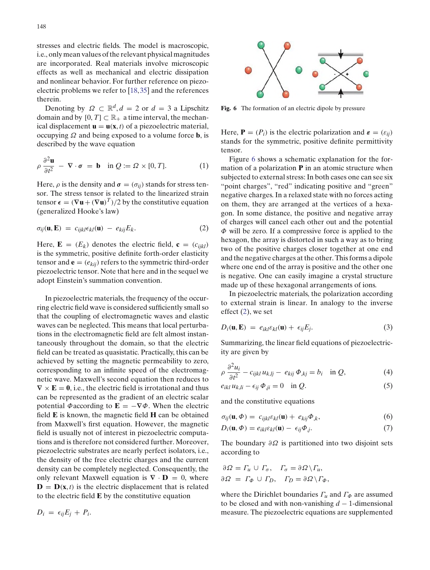stresses and electric fields. The model is macroscopic, i.e., only mean values of the relevant physical magnitudes are incorporated. Real materials involve microscopic effects as well as mechanical and electric dissipation and nonlinear behavior. For further reference on piezoelectric problems we refer to [\[18](#page-15-10),[35\]](#page-15-11) and the references therein.

Denoting by  $\Omega \subset \mathbb{R}^d$ ,  $d = 2$  or  $d = 3$  a Lipschitz domain and by  $[0, T] \subset \mathbb{R}_+$  a time interval, the mechanical displacement  $\mathbf{u} = \mathbf{u}(\mathbf{x}, t)$  of a piezoelectric material, occupying Ω and being exposed to a volume force **b**, is described by the wave equation

$$
\rho \frac{\partial^2 \mathbf{u}}{\partial t^2} - \nabla \cdot \boldsymbol{\sigma} = \mathbf{b} \quad \text{in } Q := \Omega \times [0, T]. \tag{1}
$$

Here,  $\rho$  is the density and  $\sigma = (\sigma_{ij})$  stands for stress tensor. The stress tensor is related to the linearized strain tensor  $\boldsymbol{\epsilon} = (\nabla \mathbf{u} + (\nabla \mathbf{u})^T)/2$  by the constitutive equation (generalized Hooke's law)

<span id="page-3-1"></span>
$$
\sigma_{ij}(\mathbf{u}, \mathbf{E}) = c_{ijkl} \epsilon_{kl}(\mathbf{u}) - e_{kij} E_k.
$$
 (2)

Here,  $\mathbf{E} = (E_k)$  denotes the electric field,  $\mathbf{c} = (c_{iikl})$ is the symmetric, positive definite forth-order elasticity tensor and  $\mathbf{e} = (e_{kij})$  refers to the symmetric third-order piezoelectric tensor. Note that here and in the sequel we adopt Einstein's summation convention.

In piezoelectric materials, the frequency of the occurring electric field wave is considered sufficiently small so that the coupling of electromagnetic waves and elastic waves can be neglected. This means that local perturbations in the electromagnetic field are felt almost instantaneously throughout the domain, so that the electric field can be treated as quasistatic. Practically, this can be achieved by setting the magnetic permeability to zero, corresponding to an infinite speed of the electromagnetic wave. Maxwell's second equation then reduces to  $\nabla \times \mathbf{E} = \mathbf{0}$ , i.e., the electric field is irrotational and thus can be represented as the gradient of an electric scalar potential  $\Phi$  according to  $\mathbf{E} = -\nabla \Phi$ . When the electric field **E** is known, the magnetic field **H** can be obtained from Maxwell's first equation. However, the magnetic field is usually not of interest in piezoelectric computations and is therefore not considered further. Moreover, piezoelectric substrates are nearly perfect isolators, i.e., the density of the free electric charges and the current density can be completely neglected. Consequently, the only relevant Maxwell equation is  $\nabla \cdot \mathbf{D} = 0$ , where  $\mathbf{D} = \mathbf{D}(\mathbf{x}, t)$  is the electric displacement that is related to the electric field **E** by the constitutive equation

 $D_i = \epsilon_{ij} E_j + P_i$ .



<span id="page-3-0"></span>**Fig. 6** The formation of an electric dipole by pressure

Here,  $P = (P_i)$  is the electric polarization and  $\varepsilon = (\varepsilon_{ii})$ stands for the symmetric, positive definite permittivity tensor.

Figure [6](#page-3-0) shows a schematic explanation for the formation of a polarization **P** in an atomic structure when subjected to external stress: In both cases one can see six "point charges", "red" indicating positive and "green" negative charges. In a relaxed state with no forces acting on them, they are arranged at the vertices of a hexagon. In some distance, the positive and negative array of charges will cancel each other out and the potential  $\Phi$  will be zero. If a compressive force is applied to the hexagon, the array is distorted in such a way as to bring two of the positive charges closer together at one end and the negative charges atthe other.Thisforms a dipole where one end of the array is positive and the other one is negative. One can easily imagine a crystal structure made up of these hexagonal arrangements of ions.

In piezoelectric materials, the polarization according to external strain is linear. In analogy to the inverse effect [\(2\)](#page-3-1), we set

$$
D_i(\mathbf{u}, \mathbf{E}) = e_{ikl} \varepsilon_{kl}(\mathbf{u}) + \epsilon_{ij} E_j.
$$
 (3)

Summarizing, the linear field equations of piezoelectricity are given by

$$
\rho \frac{\partial^2 u_i}{\partial t^2} - c_{ijkl} u_{k,lj} - e_{kij} \Phi_{,kj} = b_i \quad \text{in } Q,
$$
 (4)

$$
e_{ikl}u_{k,li} - \epsilon_{ij}\Phi_{,ji} = 0 \quad \text{in } Q. \tag{5}
$$

and the constitutive equations

$$
\sigma_{ij}(\mathbf{u}, \Phi) = c_{ijkl} \varepsilon_{kl}(\mathbf{u}) + e_{kij} \Phi_{,k}, \tag{6}
$$

$$
D_i(\mathbf{u}, \Phi) = e_{ikl} \varepsilon_{kl}(\mathbf{u}) - \varepsilon_{ij} \Phi_j. \tag{7}
$$

The boundary  $\partial \Omega$  is partitioned into two disjoint sets according to

$$
\partial \Omega = \Gamma_u \cup \Gamma_\sigma, \quad \Gamma_\sigma = \partial \Omega \setminus \Gamma_u,
$$
  

$$
\partial \Omega = \Gamma_\Phi \cup \Gamma_D, \quad \Gamma_D = \partial \Omega \setminus \Gamma_\Phi,
$$

where the Dirichlet boundaries  $\Gamma_u$  and  $\Gamma_\Phi$  are assumed to be closed and with non-vanishing *d* − 1-dimensional measure. The piezoelectric equations are supplemented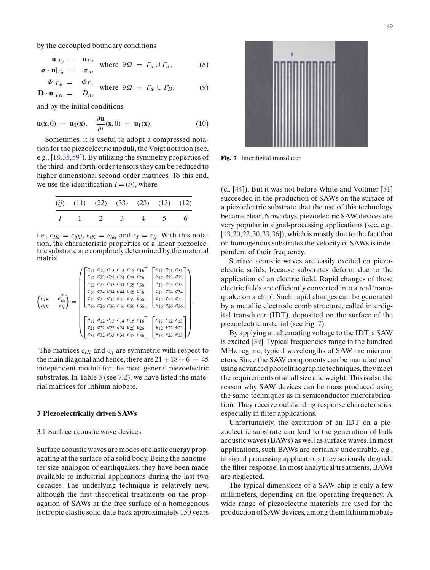by the decoupled boundary conditions

$$
\mathbf{u}|_{\Gamma_u} = \mathbf{u}_{\Gamma},
$$
  
\n
$$
\boldsymbol{\sigma} \cdot \mathbf{n}|_{\Gamma_{\sigma}} = \boldsymbol{\sigma}_n,
$$
 where  $\partial \Omega = \Gamma_u \cup \Gamma_{\sigma},$  (8)

$$
\Phi|_{\Gamma_{\Phi}} = \Phi_{\Gamma},
$$
 where  $\partial \Omega = \Gamma_{\Phi} \cup \Gamma_{D},$   $(9)$   
**D**  $\cdot$  **n**| $\Gamma_{D} = D_{n},$ 

and by the initial conditions

$$
\mathbf{u}(\mathbf{x},0) = \mathbf{u}_0(\mathbf{x}), \quad \frac{\partial \mathbf{u}}{\partial t}(\mathbf{x},0) = \mathbf{u}_1(\mathbf{x}). \tag{10}
$$

Sometimes, it is useful to adopt a compressed notation for the piezoelectric moduli, the Voigt notation (see, e.g., [\[18](#page-15-10),[35](#page-15-11)[,59](#page-16-5)]). By utilizing the symmetry properties of the third- and forth-order tensors they can be reduced to higher dimensional second-order matrices. To this end, we use the identification  $I = (ii)$ , where

| (ij) $(11)$ $(22)$ $(33)$ $(23)$ $(13)$ $(12)$ |  |  |  |
|------------------------------------------------|--|--|--|
| $1 \t 1 \t 2 \t 3 \t 4 \t 5 \t 6$              |  |  |  |

i.e.,  $c_{IK} = c_{ijkl}$ ,  $e_{iK} = e_{ikl}$  and  $\epsilon_I = \epsilon_{ij}$ . With this notation, the characteristic properties of a linear piezoelectric substrate are completely determined by the material matrix

$$
\begin{pmatrix}\nc_{IK} & e_{Kj}^T \\
\epsilon_{11} & e_{12} & e_{13} & e_{14} & e_{15} & e_{16} \\
e_{12} & e_{22} & e_{23} & e_{24} & e_{25} & e_{26} \\
e_{13} & e_{23} & e_{33} & e_{34} & e_{35} & e_{36} \\
e_{14} & e_{24} & e_{34} & e_{44} & e_{45} & e_{46} \\
e_{15} & e_{25} & e_{35} & e_{45} & e_{55} & e_{56} \\
e_{16} & e_{26} & e_{36} & e_{46} & e_{56} & e_{66}\n\end{pmatrix}\n\begin{pmatrix}\ne_{11} & e_{21} & e_{31} \\
e_{12} & e_{22} & e_{32} \\
e_{13} & e_{23} & e_{33} \\
e_{14} & e_{24} & e_{34} \\
e_{15} & e_{25} & e_{35} \\
e_{16} & e_{26} & e_{36}\n\end{pmatrix}
$$
\n
$$
\begin{pmatrix}\ne_{11} & e_{12} & e_{13} \\
e_{21} & e_{22} & e_{23} & e_{24} & e_{25} \\
e_{31} & e_{32} & e_{33} & e_{34} & e_{35} \\
e_{31} & e_{32} & e_{33} & e_{34} & e_{35}\n\end{pmatrix}
$$

.

The matrices  $c_{IK}$  and  $\epsilon_{ii}$  are symmetric with respect to the main diagonal and hence, there are  $21 + 18 + 6 = 45$ independent moduli for the most general piezoelectric substrates. In Table [3](#page-12-0) (see [7.2\)](#page-11-0), we have listed the material matrices for lithium niobate.

## **3 Piezoelectrically driven SAWs**

#### 3.1 Surface acoustic wave devices

Surface acoustic waves are modes of elastic energy propagating at the surface of a solid body. Being the nanometer size analogon of earthquakes, they have been made available to industrial applications during the last two decades. The underlying technique is relatively new, although the first theoretical treatments on the propagation of SAWs at the free surface of a homogenous isotropic elastic solid date back approximately 150 years



**Fig. 7** Interdigital transducer

<span id="page-4-0"></span>(cf. [\[44\]](#page-15-12)). But it was not before White and Voltmer [\[51\]](#page-16-6) succeeded in the production of SAWs on the surface of a piezoelectric substrate that the use of this technology became clear. Nowadays, piezoelectric SAW devices are very popular in signal-processing applications (see, e.g., [\[13](#page-15-3),[20](#page-15-13)[,22](#page-15-14),[30](#page-15-15)[,33](#page-15-16),[36\]](#page-15-4)), which is mostly due to the fact that on homogenous substrates the velocity of SAWs is independent of their frequency.

Surface acoustic waves are easily excited on piezoelectric solids, because substrates deform due to the application of an electric field. Rapid changes of these electric fields are efficiently converted into a real 'nanoquake on a chip'. Such rapid changes can be generated by a metallic electrode comb structure, called interdigital transducer (IDT), deposited on the surface of the piezoelectric material (see Fig. [7\)](#page-4-0).

By applying an alternating voltage to the IDT, a SAW is excited [\[39](#page-15-17)]. Typical frequencies range in the hundred MHz regime, typical wavelengths of SAW are micrometers. Since the SAW components can be manufactured using advanced photolithographic techniques, they meet the requirements ofsmallsize and weight.Thisis also the reason why SAW devices can be mass produced using the same techniques as in semiconductor microfabrication. They receive outstanding response characteristics, especially in filter applications.

Unfortunately, the excitation of an IDT on a piezoelectric substrate can lead to the generation of bulk acoustic waves(BAWs) as well assurface waves.In most applications, such BAWs are certainly undesirable, e.g., in signal processing applications they seriously degrade the filter response. In most analytical treatments, BAWs are neglected.

The typical dimensions of a SAW chip is only a few millimeters, depending on the operating frequency. A wide range of piezoelectric materials are used for the production of SAWdevices, among them lithium niobate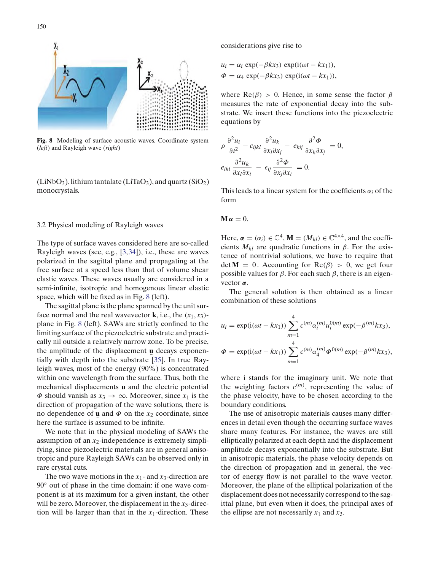150



<span id="page-5-0"></span>**Fig. 8** Modeling of surface acoustic waves. Coordinate system (*left*) and Rayleigh wave (*right*)

 $(LiNbO<sub>3</sub>)$ , lithium tantalate (LiTaO<sub>3</sub>), and quartz (SiO<sub>2</sub>) monocrystals.

#### 3.2 Physical modeling of Rayleigh waves

The type of surface waves considered here are so-called Rayleigh waves (see, e.g., [\[3,](#page-14-2)[34](#page-15-18)]), i.e., these are waves polarized in the sagittal plane and propagating at the free surface at a speed less than that of volume shear elastic waves. These waves usually are considered in a semi-infinite, isotropic and homogenous linear elastic space, which will be fixed as in Fig. [8](#page-5-0) (left).

The sagittal plane is the plane spanned by the unit surface normal and the real wavevector **k**, i.e., the  $(x_1, x_3)$ plane in Fig. [8](#page-5-0) (left). SAWs are strictly confined to the limiting surface of the piezoelectric substrate and practically nil outside a relatively narrow zone. To be precise, the amplitude of the displacement **u** decays exponentially with depth into the substrate  $\begin{bmatrix} 35 \end{bmatrix}$ . In true Rayleigh waves, most of the energy (90%) is concentrated within one wavelength from the surface. Thus, both the mechanical displacements **u** and the electric potential  $\Phi$  should vanish as  $x_3 \to \infty$ . Moreover, since  $x_1$  is the direction of propagation of the wave solutions, there is no dependence of  $\mathbf{u}$  and  $\Phi$  on the  $x_2$  coordinate, since here the surface is assumed to be infinite.

We note that in the physical modeling of SAWs the assumption of an *x*2-independence is extremely simplifying, since piezoelectric materials are in general anisotropic and pure Rayleigh SAWs can be observed only in rare crystal cuts.

The two wave motions in the  $x_1$ - and  $x_3$ -direction are 90 ◦ out of phase in the time domain: if one wave component is at its maximum for a given instant, the other will be zero. Moreover, the displacement in the  $x_3$ -direction will be larger than that in the  $x_1$ -direction. These considerations give rise to

$$
u_i = \alpha_i \exp(-\beta k x_3) \exp(i(\omega t - k x_1)),
$$
  

$$
\Phi = \alpha_4 \exp(-\beta k x_3) \exp(i(\omega t - k x_1)),
$$

where  $\text{Re}(\beta) > 0$ . Hence, in some sense the factor  $\beta$ measures the rate of exponential decay into the substrate. We insert these functions into the piezoelectric equations by

$$
\rho \frac{\partial^2 u_i}{\partial t^2} - c_{ijkl} \frac{\partial^2 u_k}{\partial x_l \partial x_j} - e_{kij} \frac{\partial^2 \Phi}{\partial x_k \partial x_j} = 0,
$$
  

$$
e_{ikl} \frac{\partial^2 u_k}{\partial x_l \partial x_i} - \epsilon_{ij} \frac{\partial^2 \Phi}{\partial x_j \partial x_i} = 0.
$$

This leads to a linear system for the coefficients  $\alpha_i$  of the form

$$
\mathbf{M}\,\pmb{\alpha}=0.
$$

Here,  $\boldsymbol{\alpha} = (\alpha_i) \in \mathbb{C}^4$ ,  $\mathbf{M} = (M_{kl}) \in \mathbb{C}^{4 \times 4}$ , and the coefficients  $M_{kl}$  are quadratic functions in  $\beta$ . For the existence of nontrivial solutions, we have to require that  $\det M = 0$ . Accounting for  $\text{Re}(\beta) > 0$ , we get four possible values for  $\beta$ . For each such  $\beta$ , there is an eigenvector *α*.

The general solution is then obtained as a linear combination of these solutions

$$
u_i = \exp(i(\omega t - kx_1)) \sum_{m=1}^{4} c^{(m)} \alpha_i^{(m)} u_i^{(0m)} \exp(-\beta^{(m)} kx_3),
$$
  

$$
\Phi = \exp(i(\omega t - kx_1)) \sum_{m=1}^{4} c^{(m)} \alpha_4^{(m)} \Phi^{0(m)} \exp(-\beta^{(m)} kx_3),
$$

where i stands for the imaginary unit. We note that the weighting factors  $c^{(m)}$ , representing the value of the phase velocity, have to be chosen according to the boundary conditions.

The use of anisotropic materials causes many differences in detail even though the occurring surface waves share many features. For instance, the waves are still elliptically polarized at each depth and the displacement amplitude decays exponentially into the substrate. But in anisotropic materials, the phase velocity depends on the direction of propagation and in general, the vector of energy flow is not parallel to the wave vector. Moreover, the plane of the elliptical polarization of the displacement does not necessarily correspond to the sagittal plane, but even when it does, the principal axes of the ellipse are not necessarily  $x_1$  and  $x_3$ .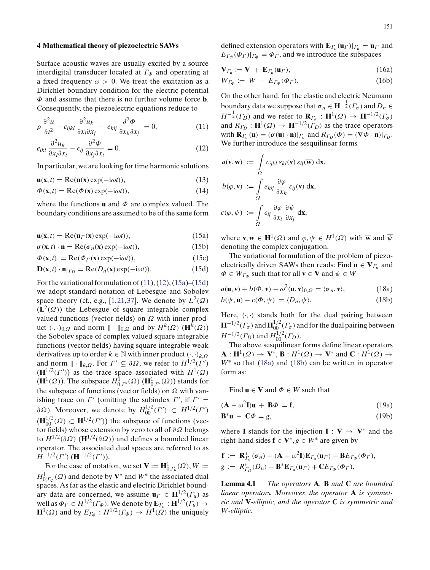#### **4 Mathematical theory of piezoelectric SAWs**

Surface acoustic waves are usually excited by a source interdigital transducer located at  $\Gamma_{\Phi}$  and operating at a fixed frequency  $\omega > 0$ . We treat the excitation as a Dirichlet boundary condition for the electric potential  $\Phi$  and assume that there is no further volume force **b**. Consequently, the piezoelectric equations reduce to

<span id="page-6-0"></span>
$$
\rho \frac{\partial^2 u}{\partial t^2} - c_{ijkl} \frac{\partial^2 u_k}{\partial x_l \partial x_j} - e_{kij} \frac{\partial^2 \Phi}{\partial x_k \partial x_j} = 0, \tag{11}
$$

$$
e_{ikl} \frac{\partial^2 u_k}{\partial x_l \partial x_l} - \epsilon_{ij} \frac{\partial^2 \Phi}{\partial x_j \partial x_l} = 0.
$$
 (12)

In particular, we are looking for time harmonic solutions

$$
\mathbf{u}(\mathbf{x},t) = \text{Re}(\mathbf{u}(\mathbf{x})\exp(-i\omega t)),\tag{13}
$$

$$
\Phi(\mathbf{x},t) = \text{Re}(\Phi(\mathbf{x})\exp(-i\omega t)),\tag{14}
$$

where the functions **u** and  $\Phi$  are complex valued. The boundary conditions are assumed to be of the same form

<span id="page-6-6"></span><span id="page-6-1"></span>
$$
\mathbf{u}(\mathbf{x},t) = \text{Re}(\mathbf{u}_\Gamma(\mathbf{x})\exp(-i\omega t)),\tag{15a}
$$

$$
\sigma(\mathbf{x},t) \cdot \mathbf{n} = \text{Re}(\sigma_n(\mathbf{x}) \exp(-i\omega t)),\tag{15b}
$$

$$
\Phi(\mathbf{x},t) = \text{Re}(\Phi_{\Gamma}(\mathbf{x})\exp(-i\omega t)),\tag{15c}
$$

$$
\mathbf{D}(\mathbf{x},t) \cdot \mathbf{n}|_{\Gamma_D} = \text{Re}(D_n(\mathbf{x}) \exp(-i\omega t)).\tag{15d}
$$

For the variational formulation of  $(11)$ ,  $(12)$ ,  $(15a)$ – $(15d)$ we adopt standard notation of Lebesgue and Sobolev space theory (cf., e.g., [\[1](#page-14-3),[21,](#page-15-19)[37](#page-15-20)]. We denote by  $L^2(\Omega)$  $(L^2(\Omega))$  the Lebesgue of square integrable complex valued functions (vector fields) on  $\Omega$  with inner product  $(\cdot, \cdot)_{0,\Omega}$  and norm  $\| \cdot \|_{0,\Omega}$  and by  $H^k(\Omega)$  (H<sup>k</sup> $(\Omega)$ ) the Sobolev space of complex valued square integrable functions (vector fields) having square integrable weak derivatives up to order  $k \in \mathbb{N}$  with inner product  $(\cdot, \cdot)_{k,\Omega}$ and norm  $\| \cdot \|_{k,\Omega}$ . For  $\Gamma' \subseteq \partial \Omega$ , we refer to  $H^{1/2}(\Gamma')$  $(\mathbf{H}^{1/2}(\Gamma'))$  as the trace space associated with  $H^1(\Omega)$  $(\mathbf{H}^1(\Omega))$ . The subspace  $H^1_{0,\Gamma'}(\Omega)$   $(\mathbf{H}^1_{0,\Gamma'}(\Omega))$  stands for the subspace of functions (vector fields) on  $\Omega$  with vanishing trace on  $\Gamma'$  (omitting the subindex  $\Gamma'$ , if  $\Gamma' =$  $\partial \Omega$ ). Moreover, we denote by  $H_{00}^{1/2}$  $\frac{1}{200}(F') \subset H^{1/2}(\Gamma')$  $({\bf H}_{00}^{1/2}$  $^{1/2}_{00}(\Omega) \subset \mathbf{H}^{1/2}(\Gamma')$  the subspace of functions (vector fields) whose extension by zero to all of ∂Ω belongs to  $H^{1/2}(\partial \Omega)$  ( $\mathbf{H}^{1/2}(\partial \Omega)$ ) and defines a bounded linear operator. The associated dual spaces are referred to as  $H^{-1/2}(\Gamma')$  (**H**<sup>-1/2</sup>(Γ')).

For the ease of notation, we set  $\mathbf{V} := \mathbf{H}^1_{0; \Gamma_u}(\Omega), W :=$ *H*<sup>1</sup><sub>0;Γφ</sub> (Ω) and denote by  $V^*$  and  $W^*$  the associated dual spaces. Asfar asthe elastic and electric Dirichlet boundary data are concerned, we assume  $\mathbf{u}_\Gamma \in \mathbf{H}^{1/2}(\Gamma_u)$  as well as  $\Phi_{\Gamma} \in H^{1/2}(\Gamma_{\Phi})$ . We denote by  $\mathbf{E}_{\Gamma_u} : \mathbf{H}^{1/2}(\Gamma_u) \to$ **H**<sup>1</sup>( $\Omega$ ) and by  $E_{\Gamma_{\Phi}}$ :  $H^{1/2}(\Gamma_{\Phi}) \to H^{1}(\Omega)$  the uniquely

defined extension operators with  $\mathbf{E}_{\Gamma_u}(\mathbf{u}_\Gamma)|_{\Gamma_u} = \mathbf{u}_\Gamma$  and  $E_{\Gamma_{\Phi}}(\Phi_{\Gamma})|_{\Gamma_{\Phi}} = \Phi_{\Gamma}$ , and we introduce the subspaces

$$
\mathbf{V}_{\Gamma_u} := \mathbf{V} + \mathbf{E}_{\Gamma_u}(\mathbf{u}_{\Gamma}),\tag{16a}
$$

$$
W_{\Gamma_{\Phi}} := W + E_{\Gamma_{\Phi}}(\Phi_{\Gamma}). \tag{16b}
$$

On the other hand, for the elastic and electric Neumann boundary data we suppose that  $\sigma_n \in \mathbf{H}^{-\frac{1}{2}}(\Gamma_{\sigma})$  and  $D_n \in$  $H^{-\frac{1}{2}}(F_D)$  and we refer to  $\mathbf{R}_{F_{\sigma}} : \mathbf{H}^1(\Omega) \to \mathbf{H}^{-1/2}(F_{\sigma})$ and  $R_{\Gamma_D}$ :  $\mathbf{H}^1(\Omega) \to \mathbf{H}^{-1/2}(\Gamma_D)$  as the trace operators with  $\mathbf{R}_{\Gamma_{\sigma}}(\mathbf{u}) = (\sigma(\mathbf{u}) \cdot \mathbf{n})|_{\Gamma_{\sigma}}$  and  $R_{\Gamma_D}(\Phi) = (\nabla \Phi \cdot \mathbf{n})|_{\Gamma_D}$ . We further introduce the sesquilinear forms

$$
a(\mathbf{v}, \mathbf{w}) := \int_{\Omega} c_{ijkl} \, \varepsilon_{kl}(\mathbf{v}) \, \varepsilon_{ij}(\overline{\mathbf{w}}) \, \mathrm{d}\mathbf{x},
$$

$$
b(\varphi, \mathbf{v}) := \int_{\Omega} e_{kij} \, \frac{\partial \varphi}{\partial x_k} \, \varepsilon_{ij}(\overline{\mathbf{v}}) \, \mathrm{d}\mathbf{x},
$$

$$
c(\varphi, \psi) := \int_{\Omega} \epsilon_{ij} \, \frac{\partial \varphi}{\partial x_i} \, \frac{\partial \overline{\psi}}{\partial x_j} \, \mathrm{d}\mathbf{x},
$$

where  $\mathbf{v}, \mathbf{w} \in \mathbf{H}^1(\Omega)$  and  $\varphi, \psi \in H^1(\Omega)$  with  $\overline{\mathbf{w}}$  and  $\overline{\psi}$ denoting the complex conjugation.

The variational formulation of the problem of piezoelectrically driven SAWs then reads: Find  $\mathbf{u} \in \mathbf{V}_{\Gamma_u}$  and  $\Phi \in W_{\Gamma_{\Phi}}$  such that for all  $\mathbf{v} \in \mathbf{V}$  and  $\psi \in W$ 

<span id="page-6-2"></span>
$$
a(\mathbf{u}, \mathbf{v}) + b(\Phi, \mathbf{v}) - \omega^2(\mathbf{u}, \mathbf{v})_{0,\Omega} = \langle \sigma_n, \mathbf{v} \rangle, \tag{18a}
$$

$$
b(\psi, \mathbf{u}) - c(\Phi, \psi) = \langle D_n, \psi \rangle.
$$
 (18b)

Here,  $\langle \cdot, \cdot \rangle$  stands both for the dual pairing between  ${\bf H}^{-1/2}(\Gamma_{\sigma})$  and  ${\bf H}_{00}^{1/2}$  $^{1/2}_{00}(r_{\sigma})$  and for the dual pairing between *H*<sup>−1/2</sup>( $\Gamma_D$ ) and *H*<sup>1/2</sup><sub>00</sub>  $\int_{00}^{1/2} (\Gamma_D)$ .

The above sesquilinear forms define linear operators  $\mathbf{A} : \mathbf{H}^1(\Omega) \to \mathbf{V}^*, \mathbf{B} : H^1(\Omega) \to \mathbf{V}^*$  and  $\mathbf{C} : H^1(\Omega) \to$ *W*<sup>∗</sup> so that [\(18a\)](#page-6-2) and [\(18b\)](#page-6-2) can be written in operator form as:

<span id="page-6-5"></span>Find  $\mathbf{u} \in \mathbf{V}$  and  $\Phi \in W$  such that

<span id="page-6-3"></span>
$$
(\mathbf{A} - \omega^2 \mathbf{I})\mathbf{u} + \mathbf{B}\Phi = \mathbf{f},\tag{19a}
$$

$$
\mathbf{B}^* \mathbf{u} - \mathbf{C} \Phi = g,\tag{19b}
$$

<span id="page-6-4"></span>where **I** stands for the injection **I** :  $V \rightarrow V^*$  and the right-hand sides  $f$  ∈  $V^*$ ,  $g$  ∈  $W^*$  are given by

$$
\mathbf{f} := \mathbf{R}_{\Gamma_{\sigma}}^*(\sigma_n) - (\mathbf{A} - \omega^2 \mathbf{I}) \mathbf{E}_{\Gamma_u}(\mathbf{u}_{\Gamma}) - \mathbf{B} \mathbf{E}_{\Gamma_{\Phi}}(\Phi_{\Gamma}),
$$
  

$$
g := R_{\Gamma_D}^*(D_n) - \mathbf{B}^* \mathbf{E}_{\Gamma_u}(\mathbf{u}_{\Gamma}) + \mathbf{C} \mathbf{E}_{\Gamma_{\Phi}}(\Phi_{\Gamma}).
$$

**Lemma 4.1** *The operators* **A***,* **B** *and* **C** *are bounded linear operators. Moreover, the operator* **A** *is symmetric and* **V***-elliptic, and the operator* **C** *is symmetric and W-elliptic.*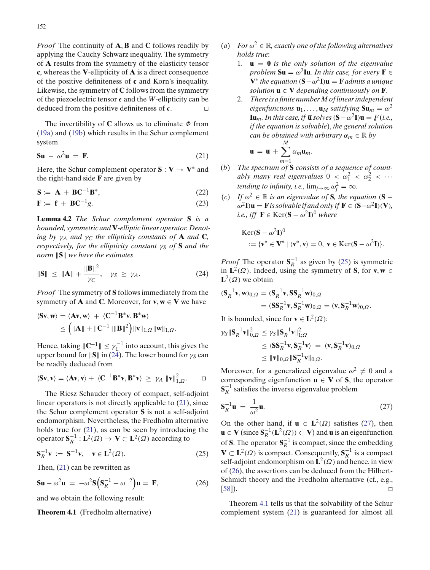*Proof* The continuity of **A**, **B** and **C** follows readily by applying the Cauchy Schwarz inequality. The symmetry of **A** results from the symmetry of the elasticity tensor **c**, whereas the **V**-ellipticity of **A** is a direct consequence of the positive definiteness of **c** and Korn's inequality. Likewise, the symmetry of **C** follows from the symmetry of the piezoelectric tensor  $\epsilon$  and the *W*-ellipticity can be deduced from the positive definiteness of  $\epsilon$ . . — П

The invertibility of **C** allows us to eliminate  $\Phi$  from [\(19a\)](#page-6-3) and [\(19b\)](#page-6-3) which results in the Schur complement system

<span id="page-7-1"></span>
$$
\mathbf{S}\mathbf{u} - \omega^2 \mathbf{u} = \mathbf{F}.\tag{21}
$$

Here, the Schur complement operator  $S : V \to V^*$  and the right-hand side **F** are given by

$$
\mathbf{S} := \mathbf{A} + \mathbf{B}\mathbf{C}^{-1}\mathbf{B}^*,\tag{22}
$$

$$
\mathbf{F} := \mathbf{f} + \mathbf{B}\mathbf{C}^{-1}\mathbf{g}.
$$
 (23)

**Lemma 4.2** *The Schur complement operator* **S** *is a bounded,symmetric and***V***-elliptic linear operator. Denoting by*  $\gamma_A$  *and*  $\gamma_C$  *the ellipticity constants of* **A** *and* **C***, respectively, for the ellipticity constant* γ*<sup>S</sup> of* **S** *and the norm*  $\|S\|$  *we have the estimates* 

<span id="page-7-0"></span>
$$
\|\mathbf{S}\| \le \|\mathbf{A}\| + \frac{\|\mathbf{B}\|^2}{\gamma C}, \quad \gamma_S \ge \gamma_A. \tag{24}
$$

*Proof* The symmetry of **S** follows immediately from the symmetry of **A** and **C**. Moreover, for  $v, w \in V$  we have

$$
\langle Sv, w \rangle = \langle Av, w \rangle + \langle C^{-1}B^*v, B^*w \rangle
$$
  
\n
$$
\leq (||A|| + ||C^{-1}|| ||B||^2) ||v||_{1,\Omega} ||w||_{1,\Omega}.
$$

Hence, taking  $\|C^{-1}\| \leq \gamma_C^{-1}$  into account, this gives the upper bound for  $\|\mathbf{S}\|$  in [\(24\)](#page-7-0). The lower bound for  $\gamma_s$  can be readily deduced from

$$
\langle \mathbf{S} \mathbf{v}, \mathbf{v} \rangle = \langle \mathbf{A} \mathbf{v}, \mathbf{v} \rangle + \langle \mathbf{C}^{-1} \mathbf{B}^* \mathbf{v}, \mathbf{B}^* \mathbf{v} \rangle \ge \gamma_A \left\| \mathbf{v} \right\|_{1, \Omega}^2. \Box
$$

The Riesz Schauder theory of compact, self-adjoint linear operators is not directly applicable to [\(21\)](#page-7-1), since the Schur complement operator **S** is not a self-adjoint endomorphism. Nevertheless, the Fredholm alternative holds true for [\(21\)](#page-7-1), as can be seen by introducing the operator  $\mathbf{S}_R^{-1} : \mathbf{L}^2(\Omega) \to \mathbf{V} \subset \mathbf{L}^2(\Omega)$  according to

<span id="page-7-2"></span>
$$
\mathbf{S}_R^{-1}\mathbf{v} := \mathbf{S}^{-1}\mathbf{v}, \quad \mathbf{v} \in \mathbf{L}^2(\Omega). \tag{25}
$$

Then, [\(21\)](#page-7-1) can be rewritten as

<span id="page-7-4"></span>
$$
\mathbf{S}\mathbf{u} - \omega^2 \mathbf{u} = -\omega^2 \mathbf{S} \Big( \mathbf{S}_R^{-1} - \omega^{-2} \Big) \mathbf{u} = \mathbf{F}, \tag{26}
$$

<span id="page-7-5"></span>and we obtain the following result:

#### **Theorem 4.1** (Fredholm alternative)

- (*a*) *For*  $\omega^2 \in \mathbb{R}$ *, exactly one of the following alternatives holds true*:
	- 1.  $\mathbf{u} = \mathbf{0}$  *is the only solution of the eigenvalue problem*  $\textbf{S} \textbf{u} = \omega^2 \textbf{I} \textbf{u}$ *. In this case, for every*  $\textbf{F} \in$  $V^*$  *the equation*  $(S - \omega^2 I)u = F$  *admits a unique solution*  $\mathbf{u} \in \mathbf{V}$  *depending continuously on*  $\mathbf{F}$ *.*
	- 2. *There is a finite numberM oflinearindependent*  $eigenfunctions$  **u**<sub>1</sub>, ..., **u**<sub>*M*</sub> *satisfying* **Su**<sub>*m*</sub> =  $\omega^2$ **Iu**<sub>*m*</sub>. *In this case, if*  $\overline{u}$  *solves* ( $S - \omega^2 I$ ) $u = F$  (*i.e.,*  $\frac{1}{2}$  *if* the equation is solvable), the general solution *can be obtained with arbitrary*  $\alpha_m \in \mathbb{R}$  *by*

$$
\mathbf{u} = \overline{\mathbf{u}} + \sum_{m=1}^{M} \alpha_m \mathbf{u}_m.
$$

- (*b*) *The spectrum of* **S** *consists of a sequence of countably many real eigenvalues*  $0 < \omega_1^2 < \omega_2^2 < \cdots$ *tending to infinity, i.e.,*  $\lim_{j\to\infty} \omega_j^2 = \infty$ *.*
- (*c*) *If*  $\omega^2$  ∈ ℝ *is an eigenvalue of* **S***, the equation* (**S** −  $\omega^2$ **I**)**u** = **F***is solvable if and only if* **F** ∈ (**S**− $\omega^2$ **I**)(**V**)*,*  $i.e., iff \mathbf{F} \in \text{Ker}(\mathbf{S} - \omega^2 \mathbf{I})^0$  where

$$
\begin{aligned} \text{Ker}(\mathbf{S} - \omega^2 \mathbf{I})^0 &:= \{ \mathbf{v}^* \in \mathbf{V}^* \mid \langle \mathbf{v}^*, \mathbf{v} \rangle = 0, \ \mathbf{v} \in \text{Ker}(\mathbf{S} - \omega^2 \mathbf{I}) \}. \end{aligned}
$$

*Proof* The operator  $S_R^{-1}$  as given by [\(25\)](#page-7-2) is symmetric in  $\mathbf{L}^2(\Omega)$ . Indeed, using the symmetry of **S**, for **v**, **w**  $\in$  $\mathbf{L}^2(\Omega)$  we obtain

$$
(\mathbf{S}_R^{-1}\mathbf{v}, \mathbf{w})_{0,\Omega} = (\mathbf{S}_R^{-1}\mathbf{v}, \mathbf{S}\mathbf{S}_R^{-1}\mathbf{w})_{0,\Omega}
$$
  
=  $(\mathbf{S}\mathbf{S}_R^{-1}\mathbf{v}, \mathbf{S}_R^{-1}\mathbf{w})_{0,\Omega} = (\mathbf{v}, \mathbf{S}_R^{-1}\mathbf{w})_{0,\Omega}.$ 

It is bounded, since for **v**  $\in L^2(\Omega)$ :

$$
\gamma_S \|\mathbf{S}_R^{-1}\mathbf{v}\|_{0,\Omega}^2 \leq \gamma_S \|\mathbf{S}_R^{-1}\mathbf{v}\|_{1,\Omega}^2
$$
  
\n
$$
\leq \langle \mathbf{S}\mathbf{S}_R^{-1}\mathbf{v}, \mathbf{S}_R^{-1}\mathbf{v} \rangle = (\mathbf{v}, \mathbf{S}_R^{-1}\mathbf{v})_{0,\Omega}
$$
  
\n
$$
\leq \|\mathbf{v}\|_{0,\Omega} \|\mathbf{S}_R^{-1}\mathbf{v}\|_{0,\Omega}.
$$

Moreover, for a generalized eigenvalue  $\omega^2 \neq 0$  and a corresponding eigenfunction  $\mathbf{u} \in \mathbf{V}$  of **S**, the operator  $S_R^{-1}$  satisfies the inverse eigenvalue problem

<span id="page-7-3"></span>
$$
\mathbf{S}_R^{-1}\mathbf{u} = \frac{1}{\omega^2}\mathbf{u}.\tag{27}
$$

On the other hand, if  $\mathbf{u} \in \mathbf{L}^2(\Omega)$  satisfies [\(27\)](#page-7-3), then **u** ∈ **V** (since  $S_R^{-1}(L^2(\Omega)) \subset V$ ) and **u** is an eigenfunction of **S**. The operator  $S_R^{-1}$  is compact, since the embedding **V** ⊂ **L**<sup>2</sup>( $\Omega$ ) is compact. Consequently,  $S_R^{-1}$  is a compact self-adjoint endomorphism on  $L^2(\Omega)$  and hence, in view of [\(26\)](#page-7-4), the assertions can be deduced from the Hilbert-Schmidt theory and the Fredholm alternative (cf., e.g., [\[58](#page-16-7)]).

Theorem [4.1](#page-7-5) tells us that the solvability of the Schur complement system [\(21\)](#page-7-1) is guaranteed for almost all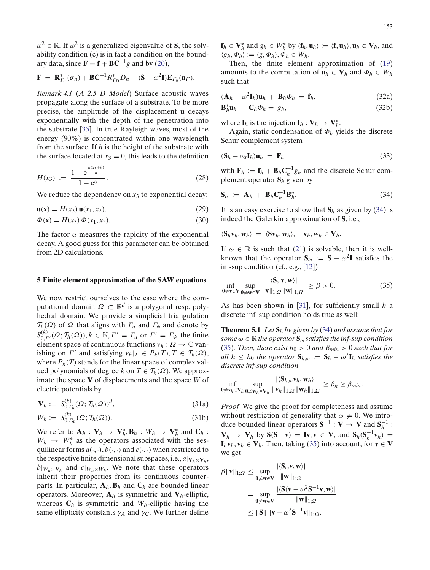$\omega^2 \in \mathbb{R}$ . If  $\omega^2$  is a generalized eigenvalue of **S**, the solvability condition (c) is in fact a condition on the boundary data, since  $\mathbf{F} = \mathbf{f} + \mathbf{B}\mathbf{C}^{-1}g$  and by [\(20\)](#page-6-4),

$$
\mathbf{F} = \mathbf{R}_{\Gamma_{\sigma}}^* (\sigma_n) + \mathbf{B} \mathbf{C}^{-1} R_{\Gamma_D}^* D_n - (\mathbf{S} - \omega^2 \mathbf{I}) \mathbf{E}_{\Gamma_u} (\mathbf{u}_{\Gamma}).
$$

*Remark 4.1* (*A 2.5 D Model*) Surface acoustic waves propagate along the surface of a substrate. To be more precise, the amplitude of the displacement **u** decays exponentially with the depth of the penetration into the substrate [\[35\]](#page-15-11). In true Rayleigh waves, most of the energy (90%) is concentrated within one wavelength from the surface. If *h* is the height of the substrate with the surface located at  $x_3 = 0$ , this leads to the definition

$$
H(x_3) := \frac{1 - e^{\frac{\alpha(x_3 + h)}{h}}}{1 - e^{\alpha}}.
$$
 (28)

We reduce the dependency on  $x_3$  to exponential decay:

$$
\mathbf{u}(\mathbf{x}) = H(x_3) \mathbf{u}(x_1, x_2),\tag{29}
$$

$$
\Phi(\mathbf{x}) = H(x_3) \Phi(x_1, x_2). \tag{30}
$$

The factor  $\alpha$  measures the rapidity of the exponential decay. A good guess for this parameter can be obtained from 2D calculations.

#### **5 Finite element approximation of the SAW equations**

We now restrict ourselves to the case where the computational domain  $\Omega \subset \mathbb{R}^d$  is a polygonal resp. polyhedral domain. We provide a simplicial triangulation *T<sub>h</sub>*( $Ω$ ) of  $Ω$  that aligns with  $Γ_u$  and  $Γ_φ$  and denote by  $S_{0,\Gamma'}^{(k)}(\Omega; \mathcal{T}_h(\Omega)), k \in \mathbb{N}, \Gamma' = \Gamma_u \text{ or } \Gamma' = \Gamma_{\Phi} \text{ the finite}$ element space of continuous functions  $v_h : \Omega \to \mathbb{C}$  vanishing on  $\Gamma'$  and satisfying  $v_h|_{T} \in P_k(T), T \in \mathcal{T}_h(\Omega)$ , where  $P_k(T)$  stands for the linear space of complex valued polynomials of degree *k* on  $T \in T_h(\Omega)$ . We approximate the space **V** of displacements and the space *W* of electric potentials by

$$
\mathbf{V}_h := S_{0,\Gamma_u}^{(k)}(\Omega; \mathcal{T}_h(\Omega))^d, \tag{31a}
$$

$$
W_h := S_{0,\Gamma_\Phi}^{(k)}(\Omega; \mathcal{T}_h(\Omega)). \tag{31b}
$$

We refer to  $\mathbf{A}_h : \mathbf{V}_h \to \mathbf{V}_h^*, \mathbf{B}_h : W_h \to \mathbf{V}_h^*$  and  $\mathbf{C}_h$ :  $W_h \rightarrow W_h^*$  as the operators associated with the sesquilinear forms  $a(\cdot, \cdot), b(\cdot, \cdot)$  and  $c(\cdot, \cdot)$  when restricted to the respective finite dimensional subspaces, i.e.,  $a|_{\mathbf{V}_h \times \mathbf{V}_h}$ ,  $b|_{W_h \times V_h}$  and  $c|_{W_h \times W_h}$ . We note that these operators inherit their properties from its continuous counterparts. In particular,  $A_h$ ,  $B_h$  and  $C_h$  are bounded linear operators. Moreover, **A***<sup>h</sup>* is symmetric and **V***h*-elliptic, whereas  $C_h$  is symmetric and  $W_h$ -elliptic having the same ellipticity constants  $\gamma_A$  and  $\gamma_C$ . We further define  $\mathbf{f}_h \in \mathbf{V}_h^*$  and  $g_h \in W_h^*$  by  $\langle \mathbf{f}_h, \mathbf{u}_h \rangle := \langle \mathbf{f}, \mathbf{u}_h \rangle, \mathbf{u}_h \in \mathbf{V}_h$ , and  $\langle g_h, \Phi_h \rangle := \langle g, \Phi_h \rangle, \Phi_h \in W_h.$ 

Then, the finite element approximation of [\(19\)](#page-6-5) amounts to the computation of  $\mathbf{u}_h \in \mathbf{V}_h$  and  $\Phi_h \in W_h$ such that

<span id="page-8-2"></span>
$$
(\mathbf{A}_h - \omega^2 \mathbf{I}_h) \mathbf{u}_h + \mathbf{B}_h \boldsymbol{\Phi}_h = \mathbf{f}_h, \tag{32a}
$$

$$
\mathbf{B}_h^* \mathbf{u}_h - \mathbf{C}_h \boldsymbol{\Phi}_h = g_h,
$$
 (32b)

where  $I_h$  is the injection  $I_h: V_h \to V_h^*$ .

Again, static condensation of  $\Phi_h$  yields the discrete Schur complement system

$$
(\mathbf{S}_h - \omega_s \mathbf{I}_h) \mathbf{u}_h = \mathbf{F}_h \tag{33}
$$

with  $\mathbf{F}_h := \mathbf{f}_h + \mathbf{B}_h \mathbf{C}_h^{-1} g_h$  and the discrete Schur complement operator **S***<sup>h</sup>* given by

<span id="page-8-0"></span>
$$
\mathbf{S}_h := \mathbf{A}_h + \mathbf{B}_h \mathbf{C}_h^{-1} \mathbf{B}_h^*.
$$
 (34)

It is an easy exercise to show that  $S_h$  as given by [\(34\)](#page-8-0) is indeed the Galerkin approximation of **S**, i.e.,

$$
\langle \mathbf{S}_h \mathbf{v}_h, \mathbf{w}_h \rangle = \langle \mathbf{S} \mathbf{v}_h, \mathbf{w}_h \rangle, \quad \mathbf{v}_h, \mathbf{w}_h \in \mathbf{V}_h.
$$

If  $\omega \in \mathbb{R}$  is such that [\(21\)](#page-7-1) is solvable, then it is wellknown that the operator  $\mathbf{S}_{\omega} := \mathbf{S} - \omega^2 \mathbf{I}$  satisfies the inf-sup condition (cf., e.g., [\[12](#page-15-21)])

<span id="page-8-1"></span>
$$
\inf_{0 \neq \mathbf{v} \in \mathbf{V}} \sup_{0 \neq \mathbf{w} \in \mathbf{V}} \frac{|\langle \mathbf{S}_{\omega} \mathbf{v}, \mathbf{w} \rangle|}{\|\mathbf{v}\|_{1,\Omega} \|\mathbf{w}\|_{1,\Omega}} \geq \beta > 0.
$$
 (35)

As has been shown in [\[31](#page-15-22)], for sufficiently small *h* a discrete inf–sup condition holds true as well:

**Theorem 5.1** *Let*  $S_h$  *be given by* [\(34\)](#page-8-0) *and assume that for some*  $\omega \in \mathbb{R}$  *the operator*  $\mathbf{S}_{\omega}$  *satisfies the inf-sup condition* [\(35\)](#page-8-1)*. Then, there exist*  $h_0 > 0$  *and*  $\beta_{min} > 0$  *such that for all*  $h \leq h_0$  *the operator*  $\mathbf{S}_{h,\omega} := \mathbf{S}_h - \omega^2 \mathbf{I}_h$  *satisfies the discrete inf-sup condition*

$$
\inf_{0 \neq \mathbf{v}_h \in \mathbf{V}_h} \sup_{0 \neq \mathbf{w}_h \in \mathbf{V}_h} \frac{|\langle \mathbf{S}_{h,\omega} \mathbf{v}_h, \mathbf{w}_h \rangle|}{\|\mathbf{v}_h\|_{1,\Omega} \|\mathbf{w}_h\|_{1,\Omega}} \geq \beta_h \geq \beta_{min}.
$$

*Proof* We give the proof for completeness and assume without restriction of generality that  $\omega \neq 0$ . We introduce bounded linear operators  $\mathbf{S}^{-1} : \mathbf{V} \to \mathbf{V}$  and  $\mathbf{S}_h^{-1}$ : **V**<sub>*h*</sub> → **V**<sub>*h*</sub> by **S**(**S**<sup>-1</sup>**v**) = **Iv**, **v** ∈ **V**, and **S**<sub>*h*</sub>(**S**<sub>*h*</sub><sup>-1</sup>**v**<sub>*h*</sub>) =  $\mathbf{I}_h \mathbf{v}_h, \mathbf{v}_h \in \mathbf{V}_h$ . Then, taking [\(35\)](#page-8-1) into account, for  $\mathbf{v} \in \mathbf{V}$ we get

$$
\beta \|\mathbf{v}\|_{1;\Omega} \leq \sup_{\mathbf{0}\neq \mathbf{w}\in \mathbf{V}} \frac{|\langle \mathbf{S}_{\omega}\mathbf{v}, \mathbf{w} \rangle|}{\|\mathbf{w}\|_{1;\Omega}} \n= \sup_{\mathbf{0}\neq \mathbf{w}\in \mathbf{V}} \frac{|\langle \mathbf{S}(\mathbf{v}-\omega^2\mathbf{S}^{-1}\mathbf{v}, \mathbf{w} \rangle|}{\|\mathbf{w}\|_{1;\Omega}} \n\leq \|\mathbf{S}\| \|\mathbf{v}-\omega^2\mathbf{S}^{-1}\mathbf{v}\|_{1;\Omega}.
$$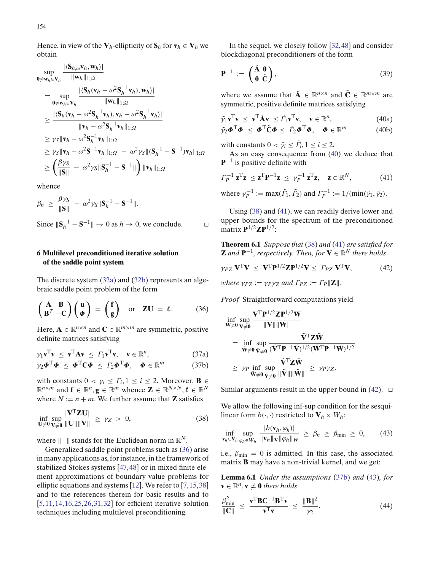Hence, in view of the  $V_h$ -ellipticity of  $S_h$  for  $v_h \in V_h$  we obtain

$$
\sup_{0 \neq w_h \in V_h} \frac{|\langle \mathbf{S}_{h,\omega} \mathbf{v}_h, \mathbf{w}_h \rangle|}{\|\mathbf{w}_h\|_{1;\Omega}} \n= \sup_{0 \neq w_h \in V_h} \frac{|\langle \mathbf{S}_h(\mathbf{v}_h - \omega^2 \mathbf{S}_h^{-1} \mathbf{v}_h), \mathbf{w}_h \rangle|}{\|\mathbf{w}_h\|_{1;\Omega}} \n\geq \frac{|\langle \mathbf{S}_h(\mathbf{v}_h - \omega^2 \mathbf{S}_h^{-1} \mathbf{v}_h), \mathbf{v}_h - \omega^2 \mathbf{S}_h^{-1} \mathbf{v}_h \rangle|}{\|\mathbf{v}_h - \omega^2 \mathbf{S}_h^{-1} \mathbf{v}_h\|_{1;\Omega}} \n\geq \gamma_S \|\mathbf{v}_h - \omega^2 \mathbf{S}_h^{-1} \mathbf{v}_h\|_{1;\Omega} \n\geq \gamma_S \|\mathbf{v}_h - \omega^2 \mathbf{S}^{-1} \mathbf{v}_h\|_{1;\Omega} - \omega^2 \gamma_S \|(\mathbf{S}_h^{-1} - \mathbf{S}^{-1}) \mathbf{v}_h\|_{1;\Omega} \n\geq \left(\frac{\beta \gamma_S}{\|\mathbf{S}\|} - \omega^2 \gamma_S \|\mathbf{S}_h^{-1} - \mathbf{S}^{-1}\| \right) \|\mathbf{v}_h\|_{1;\Omega}
$$

whence

$$
\beta_h \ge \frac{\beta \gamma_S}{\|\mathbf{S}\|} - \omega^2 \gamma_S \|\mathbf{S}_h^{-1} - \mathbf{S}^{-1}\|.
$$
  
Since  $\|\mathbf{S}_h^{-1} - \mathbf{S}^{-1}\| \to 0$  as  $h \to 0$ , we conclude.

# **6 Multilevel preconditioned iterative solution of the saddle point system**

The discrete system [\(32a\)](#page-8-2) and [\(32b\)](#page-8-2) represents an algebraic saddle point problem of the form

<span id="page-9-0"></span>
$$
\begin{pmatrix} \mathbf{A} & \mathbf{B} \\ \mathbf{B}^T & -\mathbf{C} \end{pmatrix} \begin{pmatrix} \mathbf{u} \\ \boldsymbol{\phi} \end{pmatrix} = \begin{pmatrix} \mathbf{f} \\ \mathbf{g} \end{pmatrix} \text{ or } \mathbf{Z}\mathbf{U} = \boldsymbol{\ell}. \tag{36}
$$

Here,  $\mathbf{A} \in \mathbb{R}^{n \times n}$  and  $\mathbf{C} \in \mathbb{R}^{m \times m}$  are symmetric, positive definite matrices satisfying

<span id="page-9-5"></span>
$$
\gamma_1 \mathbf{v}^T \mathbf{v} \le \mathbf{v}^T \mathbf{A} \mathbf{v} \le \Gamma_1 \mathbf{v}^T \mathbf{v}, \quad \mathbf{v} \in \mathbb{R}^n, \tag{37a}
$$

$$
\gamma_2 \boldsymbol{\Phi}^{\mathrm{T}} \boldsymbol{\Phi} \leq \boldsymbol{\Phi}^{\mathrm{T}} \mathbf{C} \boldsymbol{\Phi} \leq \Gamma_2 \boldsymbol{\Phi}^{\mathrm{T}} \boldsymbol{\Phi}, \quad \boldsymbol{\Phi} \in \mathbb{R}^m \tag{37b}
$$

with constants  $0 < \gamma_i \leq \Gamma_i, 1 \leq i \leq 2$ . Moreover, **B**  $\in$  $\mathbb{R}^{n \times m}$  and  $\mathbf{f} \in \mathbb{R}^n$ ,  $\mathbf{g} \in \mathbb{R}^m$  whence  $\mathbf{Z} \in \mathbb{R}^{N \times N}$ ,  $\ell \in \mathbb{R}^N$ where  $N := n + m$ . We further assume that **Z** satisfies

<span id="page-9-2"></span>
$$
\inf_{\mathbf{U}\neq\mathbf{0}}\sup_{\mathbf{V}\neq\mathbf{0}}\frac{|\mathbf{V}^{\mathrm{T}}\mathbf{Z}\mathbf{U}|}{\|\mathbf{U}\|\|\mathbf{V}\|} \geq \gamma_Z > 0,
$$
\n(38)

where  $\| \cdot \|$  stands for the Euclidean norm in  $\mathbb{R}^N$ .

Generalized saddle point problems such as [\(36\)](#page-9-0) arise in many applications as, for instance, in the framework of stabilized Stokes systems [\[47](#page-15-23)[,48](#page-15-24)] or in mixed finite element approximations of boundary value problems for elliptic equations and systems [\[12\]](#page-15-21). We refer to [\[7](#page-15-25)[,15](#page-15-26),[38\]](#page-15-27) and to the references therein for basic results and to [\[5](#page-14-4),[11](#page-15-28)[,14](#page-15-29),[16,](#page-15-30)[25](#page-15-31),[26,](#page-15-32)[31](#page-15-22),[32](#page-15-33)] for efficient iterative solution techniques including multilevel preconditioning.

In the sequel, we closely follow [\[32](#page-15-33),[48\]](#page-15-24) and consider blockdiagonal preconditioners of the form

$$
\mathbf{P}^{-1} := \begin{pmatrix} \tilde{\mathbf{A}} & \mathbf{0} \\ \mathbf{0} & \tilde{\mathbf{C}} \end{pmatrix},\tag{39}
$$

<span id="page-9-1"></span>where we assume that  $\tilde{A} \in \mathbb{R}^{n \times n}$  and  $\tilde{C} \in \mathbb{R}^{m \times m}$  are symmetric, positive definite matrices satisfying

$$
\tilde{\gamma}_1 \mathbf{v}^{\mathrm{T}} \mathbf{v} \leq \mathbf{v}^{\mathrm{T}} \tilde{\mathbf{A}} \mathbf{v} \leq \tilde{\Gamma}_1 \mathbf{v}^{\mathrm{T}} \mathbf{v}, \quad \mathbf{v} \in \mathbb{R}^n, \tag{40a}
$$

$$
\tilde{\gamma}_2 \boldsymbol{\Phi}^{\mathrm{T}} \boldsymbol{\Phi} \leq \boldsymbol{\Phi}^{\mathrm{T}} \tilde{\mathbf{C}} \boldsymbol{\Phi} \leq \tilde{\varGamma}_2 \boldsymbol{\Phi}^{\mathrm{T}} \boldsymbol{\Phi}, \quad \boldsymbol{\Phi} \in \mathbb{R}^m \tag{40b}
$$

with constants  $0 < \tilde{\gamma}_i \leq \tilde{\Gamma}_i, 1 \leq i \leq 2$ .

As an easy consequence from [\(40\)](#page-9-1) we deduce that  $\mathbf{P}^{-1}$  is positive definite with

<span id="page-9-3"></span>
$$
\Gamma_P^{-1} \mathbf{z}^{\mathrm{T}} \mathbf{z} \leq \mathbf{z}^{\mathrm{T}} \mathbf{P}^{-1} \mathbf{z} \leq \gamma_P^{-1} \mathbf{z}^{\mathrm{T}} \mathbf{z}, \quad \mathbf{z} \in \mathbb{R}^N, \tag{41}
$$

where 
$$
\gamma_P^{-1} := \max(\tilde{\Gamma}_1, \tilde{\Gamma}_2)
$$
 and  $\Gamma_P^{-1} := 1/(\min(\tilde{\gamma}_1, \tilde{\gamma}_2))$ .

Using [\(38\)](#page-9-2) and [\(41\)](#page-9-3), we can readily derive lower and upper bounds for the spectrum of the preconditioned matrix  $P^{1/2}ZP^{1/2}$ :

**Theorem 6.1** *Suppose that* [\(38\)](#page-9-2) *and* [\(41\)](#page-9-3) *are satisfied for* **Z** and  $\mathbf{P}^{-1}$ , respectively. Then, for  $\mathbf{V} \in \mathbb{R}^N$  there holds

<span id="page-9-4"></span>
$$
\gamma_{PZ} \mathbf{V}^{\mathrm{T}} \mathbf{V} \leq \mathbf{V}^{\mathrm{T}} \mathbf{P}^{1/2} \mathbf{Z} \mathbf{P}^{1/2} \mathbf{V} \leq \Gamma_{PZ} \mathbf{V}^{\mathrm{T}} \mathbf{V}, \tag{42}
$$

*where*  $\gamma_{PZ} := \gamma_{P}\gamma_{Z}$  *and*  $\Gamma_{PZ} := \Gamma_{P}||\mathbf{Z}||.$ 

*Proof* Straightforward computations yield

$$
\inf_{\mathbf{W}\neq\mathbf{0}}\sup_{\mathbf{V}\neq\mathbf{0}}\frac{\mathbf{V}^{\mathsf{T}}\mathbf{P}^{1/2}\mathbf{Z}\mathbf{P}^{1/2}\mathbf{W}}{\|\mathbf{V}\|\|\mathbf{W}\|}\n\n=\inf_{\tilde{\mathbf{W}}\neq\mathbf{0}}\sup_{\tilde{\mathbf{V}}\neq\mathbf{0}}\frac{\tilde{\mathbf{V}}^{\mathsf{T}}\mathbf{Z}\tilde{\mathbf{W}}}{(\tilde{\mathbf{V}}^{\mathsf{T}}\mathbf{P}^{-1}\tilde{\mathbf{V}})^{1/2}(\tilde{\mathbf{W}}^{\mathsf{T}}\mathbf{P}^{-1}\tilde{\mathbf{W}})^{1/2}}\n\n\geq \gamma_{P}\inf_{\tilde{\mathbf{W}}\neq\mathbf{0}}\sup_{\tilde{\mathbf{V}}\neq\mathbf{0}}\frac{\tilde{\mathbf{V}}^{\mathsf{T}}\mathbf{Z}\tilde{\mathbf{W}}}{\|\tilde{\mathbf{V}}\|\|\tilde{\mathbf{W}}\|}\geq \gamma_{P}\gamma_{Z}.
$$

Similar arguments result in the upper bound in  $(42)$ .  $\Box$ 

We allow the following inf-sup condition for the sesquilinear form  $b(\cdot, \cdot)$  restricted to  $V_h \times W_h$ :

<span id="page-9-6"></span>
$$
\inf_{\mathbf{v}_h \in \mathbf{V}_h} \sup_{\varphi_h \in W_h} \frac{|b(\mathbf{v}_h, \varphi_h)|}{\|\mathbf{v}_h\|_{\mathbf{V}} \|\varphi_h\|_{W}} \ge \beta_h \ge \beta_{\min} \ge 0,
$$
 (43)

<span id="page-9-7"></span>i.e.,  $\beta_{\text{min}} = 0$  is admitted. In this case, the associated matrix **B** may have a non-trivial kernel, and we get:

**Lemma 6.1** *Under the assumptions* [\(37b\)](#page-9-5) *and* [\(43\)](#page-9-6)*, for*  $\mathbf{v} \in \mathbb{R}^n$ ,  $\mathbf{v} \neq \mathbf{0}$  *there holds* 

$$
\frac{\beta_{\min}^2}{\|\mathbf{C}\|} \le \frac{\mathbf{v}^{\mathrm{T}} \mathbf{B} \mathbf{C}^{-1} \mathbf{B}^{\mathrm{T}} \mathbf{v}}{\mathbf{v}^{\mathrm{T}} \mathbf{v}} \le \frac{\|\mathbf{B}\|^2}{\gamma_2}.
$$
\n(44)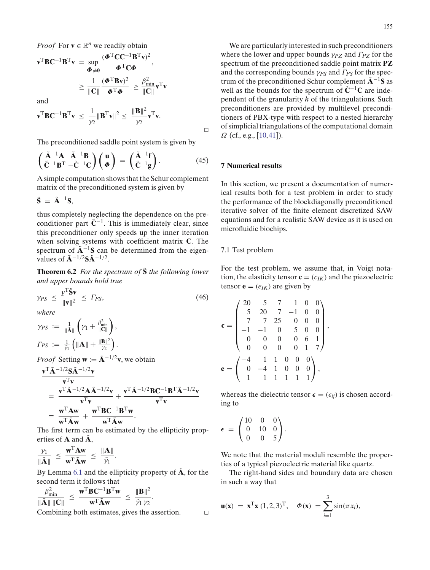*Proof* For  $\mathbf{v} \in \mathbb{R}^n$  we readily obtain

$$
\mathbf{v}^{\mathrm{T}} \mathbf{B} \mathbf{C}^{-1} \mathbf{B}^{\mathrm{T}} \mathbf{v} = \sup_{\boldsymbol{\Phi} \neq 0} \frac{(\boldsymbol{\Phi}^{\mathrm{T}} \mathbf{C} \mathbf{C}^{-1} \mathbf{B}^{\mathrm{T}} \mathbf{v})^2}{\boldsymbol{\Phi}^{\mathrm{T}} \mathbf{C} \boldsymbol{\Phi}},
$$

$$
\geq \frac{1}{\|\mathbf{C}\|} \frac{(\boldsymbol{\Phi}^{\mathrm{T}} \mathbf{B} \mathbf{v})^2}{\boldsymbol{\Phi}^{\mathrm{T}} \boldsymbol{\Phi}} \geq \frac{\beta_{\min}^2}{\|\mathbf{C}\|} \mathbf{v}^{\mathrm{T}} \mathbf{v}
$$
and

and

$$
\mathbf{v}^{\mathrm{T}} \mathbf{B} \mathbf{C}^{-1} \mathbf{B}^{\mathrm{T}} \mathbf{v} \ \leq \ \frac{1}{\gamma_2} \|\mathbf{B}^{\mathrm{T}} \mathbf{v}\|^2 \leq \ \frac{\|\mathbf{B}\|^2}{\gamma_2} \mathbf{v}^{\mathrm{T}} \mathbf{v}.
$$

The preconditioned saddle point system is given by

$$
\begin{pmatrix} \tilde{\mathbf{A}}^{-1}\mathbf{A} & \tilde{\mathbf{A}}^{-1}\mathbf{B} \\ \tilde{\mathbf{C}}^{-1}\mathbf{B}^{\mathrm{T}} & -\tilde{\mathbf{C}}^{-1}\mathbf{C} \end{pmatrix} \begin{pmatrix} \mathbf{u} \\ \boldsymbol{\phi} \end{pmatrix} = \begin{pmatrix} \tilde{\mathbf{A}}^{-1}\mathbf{f} \\ \tilde{\mathbf{C}}^{-1}\mathbf{g} \end{pmatrix}.
$$
 (45)

A simple computation shows that the Schur complement matrix of the preconditioned system is given by

$$
\tilde{\mathbf{S}} = \tilde{\mathbf{A}}^{-1} \mathbf{S},
$$

thus completely neglecting the dependence on the preconditioner part  $\tilde{\mathbf{C}}^{-1}$ . This is immediately clear, since this preconditioner only speeds up the inner iteration when solving systems with coefficient matrix **C**. The spectrum of  $\tilde{A}^{-1}S$  can be determined from the eigenvalues of  $\tilde{\mathbf{A}}^{-1/2} \mathbf{S} \tilde{\mathbf{A}}^{-1/2}$ .

**Theorem 6.2** For the spectrum of  $\tilde{S}$  the following lower *and upper bounds hold true*

$$
\gamma_{PS} \leq \frac{\mathbf{v}^{\mathrm{T}} \tilde{\mathbf{S}} \mathbf{v}}{\|\mathbf{v}\|^2} \leq \Gamma_{PS},\tag{46}
$$

*where*

$$
\gamma_{PS} := \frac{1}{\|\mathbf{\tilde{A}}\|} \left( \gamma_1 + \frac{\beta_{\min}^2}{\|\mathbf{C}\|} \right),
$$
  

$$
\Gamma_{PS} := \frac{1}{\tilde{\gamma}_1} \left( \|\mathbf{A}\| + \frac{\|\mathbf{B}\|^2}{\gamma_2} \right).
$$

*Proof* Setting  $\mathbf{w} := \tilde{\mathbf{A}}^{-1/2} \mathbf{v}$ , we obtain

$$
\frac{\mathbf{v}^{\mathsf{T}}\tilde{\mathbf{A}}^{-1/2}\mathbf{S}\tilde{\mathbf{A}}^{-1/2}\mathbf{v}}{\mathbf{v}^{\mathsf{T}}\mathbf{v}}
$$
\n
$$
= \frac{\mathbf{v}^{\mathsf{T}}\tilde{\mathbf{A}}^{-1/2}\mathbf{A}\tilde{\mathbf{A}}^{-1/2}\mathbf{v}}{\mathbf{v}^{\mathsf{T}}\mathbf{v}} + \frac{\mathbf{v}^{\mathsf{T}}\tilde{\mathbf{A}}^{-1/2}\mathbf{B}\mathbf{C}^{-1}\mathbf{B}^{\mathsf{T}}\tilde{\mathbf{A}}^{-1/2}\mathbf{v}}{\mathbf{v}^{\mathsf{T}}\mathbf{v}}
$$
\n
$$
= \frac{\mathbf{w}^{\mathsf{T}}\mathbf{A}\mathbf{w}}{\mathbf{w}^{\mathsf{T}}\tilde{\mathbf{A}}\mathbf{w}} + \frac{\mathbf{w}^{\mathsf{T}}\mathbf{B}\mathbf{C}^{-1}\mathbf{B}^{\mathsf{T}}\mathbf{w}}{\mathbf{w}^{\mathsf{T}}\tilde{\mathbf{A}}\mathbf{w}}.
$$

The first term can be estimated by the ellipticity properties of  $\bf{A}$  and  $\tilde{\bf{A}}$ .

$$
\frac{\gamma_1}{\|\tilde{\mathbf{A}}\|} \ \leq \ \frac{\mathbf{w}^T \mathbf{A} \mathbf{w}}{\mathbf{w}^T \tilde{\mathbf{A}} \mathbf{w}} \ \leq \ \frac{\|\mathbf{A}\|}{\tilde{\gamma_1}}.
$$

By Lemma [6.1](#page-9-7) and the ellipticity property of  $\tilde{A}$ , for the second term it follows that

$$
\frac{\beta_{\min}^2}{\|\mathbf{A}\| \|\mathbf{C}\|} \leq \frac{\mathbf{w}^T \mathbf{B} \mathbf{C}^{-1} \mathbf{B}^T \mathbf{w}}{\mathbf{w}^T \mathbf{A} \mathbf{w}} \leq \frac{\|\mathbf{B}\|^2}{\tilde{\gamma}_1 \gamma_2}.
$$
Combining both estimates, gives the assertion

Combining both estimates, gives the assertion.

We are particularly interested in such preconditioners where the lower and upper bounds γ*PZ* and Γ*PZ* for the spectrum of the preconditioned saddle point matrix **PZ** and the corresponding bounds γ*PS* and Γ*PS* for the spectrum of the preconditioned Schur complement  $\tilde{A}^{-1}S$  as well as the bounds for the spectrum of  $\tilde{C}^{-1}C$  are independent of the granularity *h* of the triangulations. Such preconditioners are provided by multilevel preconditioners of PBX-type with respect to a nested hierarchy of simplicial triangulations of the computational domain  $\Omega$  (cf., e.g., [\[10](#page-15-34)[,41](#page-15-35)]).

# **7 Numerical results**

 $\Box$ 

In this section, we present a documentation of numerical results both for a test problem in order to study the performance of the blockdiagonally preconditioned iterative solver of the finite element discretized SAW equations and for a realistic SAW device as it is used on microfluidic biochips.

## 7.1 Test problem

For the test problem, we assume that, in Voigt notation, the elasticity tensor  $\mathbf{c} = (c_{IK})$  and the piezoelectric tensor  $\mathbf{e} = (e_{IK})$  are given by

$$
\mathbf{c} = \begin{pmatrix} 20 & 5 & 7 & 1 & 0 & 0 \\ 5 & 20 & 7 & -1 & 0 & 0 \\ 7 & 7 & 25 & 0 & 0 & 0 \\ -1 & -1 & 0 & 5 & 0 & 0 \\ 0 & 0 & 0 & 0 & 6 & 1 \\ 0 & 0 & 0 & 0 & 1 & 7 \end{pmatrix},
$$

$$
\mathbf{e} = \begin{pmatrix} -4 & 1 & 1 & 0 & 0 & 0 \\ 0 & -4 & 1 & 0 & 0 & 0 \\ 1 & 1 & 1 & 1 & 1 & 1 \end{pmatrix},
$$

whereas the dielectric tensor  $\epsilon = (\epsilon_{ij})$  is chosen according to

$$
\epsilon = \begin{pmatrix} 10 & 0 & 0 \\ 0 & 10 & 0 \\ 0 & 0 & 5 \end{pmatrix}.
$$

We note that the material moduli resemble the properties of a typical piezoelectric material like quartz.

The right-hand sides and boundary data are chosen in such a way that

$$
\mathbf{u}(\mathbf{x}) = \mathbf{x}^{\mathrm{T}} \mathbf{x} (1,2,3)^{\mathrm{T}}, \quad \phi(\mathbf{x}) = \sum_{i=1}^{3} \sin(\pi x_i),
$$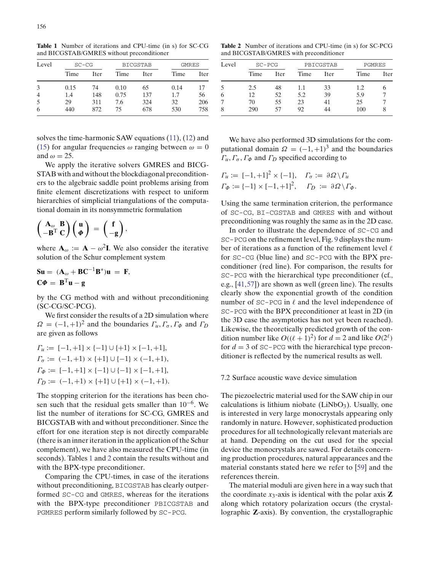| Level          | $SC-CG$ |      | <b>BICGSTAB</b> |      | <b>GMRES</b> |      |
|----------------|---------|------|-----------------|------|--------------|------|
|                | Time    | Iter | Time            | Iter | Time         | Iter |
| 3              | 0.15    | 74   | 0.10            | 65   | 0.14         | 17   |
| $\overline{4}$ | 1.4     | 148  | 0.75            | 137  | 1.7          | 56   |
| 5              | 29      | 311  | 7.6             | 324  | 32           | 206  |
| 6              | 440     | 872. | 75              | 678  | 530          | 758  |

<span id="page-11-1"></span>**Table 1** Number of iterations and CPU-time (in s) for SC-CG and BICGSTAB/GMRES without preconditioner

solves the time-harmonic SAW equations [\(11\)](#page-6-0), [\(12\)](#page-6-0) and [\(15\)](#page-6-6) for angular frequencies  $\omega$  ranging between  $\omega = 0$ and  $\omega = 25$ .

We apply the iterative solvers GMRES and BICG-STAB with and without the blockdiagonal preconditioners to the algebraic saddle point problems arising from finite element discretizations with respect to uniform hierarchies of simplicial triangulations of the computational domain in its nonsymmetric formulation

$$
\begin{pmatrix}\nA_{\omega} & B \\
-B^T & C\n\end{pmatrix}\n\begin{pmatrix}\nu \\
\Phi\n\end{pmatrix} = \begin{pmatrix}\nf \\
-g\n\end{pmatrix},
$$

where  $\mathbf{A}_{\omega} := \mathbf{A} - \omega^2 \mathbf{I}$ . We also consider the iterative solution of the Schur complement system

$$
Su = (A_{\omega} + BC^{-1}B^*)u = F,
$$
  
\n
$$
C\Phi = B^{T}u - g
$$

by the CG method with and without preconditioning (SC-CG/SC-PCG).

We first consider the results of a 2D simulation where  $\Omega = (-1, +1)^2$  and the boundaries  $\Gamma_u, \Gamma_\sigma, \Gamma_\Phi$  and  $\Gamma_D$ are given as follows

$$
\Gamma_u := [-1, +1] \times \{-1\} \cup \{+1\} \times [-1, +1],
$$
\n
$$
\Gamma_{\sigma} := (-1, +1) \times \{+1\} \cup \{-1\} \times (-1, +1),
$$
\n
$$
\Gamma_{\Phi} := [-1, +1] \times \{-1\} \cup \{-1\} \times [-1, +1],
$$
\n
$$
\Gamma_D := (-1, +1) \times \{+1\} \cup \{+1\} \times (-1, +1).
$$

The stopping criterion for the iterations has been chosen such that the residual gets smaller than  $10^{-6}$ . We list the number of iterations for SC-CG, GMRES and BICGSTAB with and without preconditioner. Since the effort for one iteration step is not directly comparable (there is an inneriteration in the application of the Schur complement), we have also measured the CPU-time (in seconds). Tables [1](#page-11-1) and [2](#page-11-2) contain the results without and with the BPX-type preconditioner.

Comparing the CPU-times, in case of the iterations without preconditioning, BICGSTAB has clearly outperformed SC-CG and GMRES, whereas for the iterations with the BPX-type preconditioner PBICGSTAB and PGMRES perform similarly followed by SC-PCG.

<span id="page-11-2"></span>**Table 2** Number of iterations and CPU-time (in s) for SC-PCG and BICGSTAB/GMRES with preconditioner

| Level | $SC-PCG$ |      | PBICGSTAB |      | PGMRES |      |
|-------|----------|------|-----------|------|--------|------|
|       | Time     | Iter | Time      | Iter | Time   | Iter |
| 5     | 2.5      | 48   | 1.1       | 33   | 1.2    |      |
| 6     | 12       | 52   | 5.2       | 39   | 5.9    |      |
| 7     | 70       | 55   | 23        | 41   | 25     |      |
| 8     | 290      | 57   | 92        | 44   | 100    |      |

We have also performed 3D simulations for the computational domain  $\Omega = (-1, +1)^3$  and the boundaries  $\Gamma_u, \Gamma_\sigma, \Gamma_\Phi$  and  $\Gamma_D$  specified according to

$$
\Gamma_u := [-1, +1]^2 \times \{-1\}, \quad \Gamma_{\sigma} := \partial \Omega \setminus \Gamma_u
$$
  
\n
$$
\Gamma_{\Phi} := \{-1\} \times [-1, +1]^2, \quad \Gamma_D := \partial \Omega \setminus \Gamma_{\Phi}.
$$

Using the same termination criterion, the performance of SC-CG, BI-CGSTAB and GMRES with and without preconditioning was roughly the same as in the 2D case.

In order to illustrate the dependence of SC-CG and SC-PCG on the refinement level, Fig. [9](#page-12-1) displays the number of iterations as a function of the refinement level  $\ell$ for SC-CG (blue line) and SC-PCG with the BPX preconditioner (red line). For comparison, the results for SC-PCG with the hierarchical type preconditioner (cf., e.g., [\[41](#page-15-35)[,57](#page-16-8)]) are shown as well (green line). The results clearly show the exponential growth of the condition number of  $SC-PCG$  in  $\ell$  and the level independence of SC-PCG with the BPX preconditioner at least in 2D (in the 3D case the asymptotics has not yet been reached). Likewise, the theoretically predicted growth of the condition number like  $O((l + 1)^2)$  for  $d = 2$  and like  $O(2^l)$ for  $d = 3$  of SC-PCG with the hierarchical type preconditioner is reflected by the numerical results as well.

#### <span id="page-11-0"></span>7.2 Surface acoustic wave device simulation

The piezoelectric material used for the SAW chip in our calculations is lithium niobate  $(LiNbO<sub>3</sub>)$ . Usually, one is interested in very large monocrystals appearing only randomly in nature. However, sophisticated production procedures for all technologically relevant materials are at hand. Depending on the cut used for the special device the monocrystals are sawed. For details concerning production procedures, natural appearances and the material constants stated here we refer to [\[59\]](#page-16-5) and the references therein.

The material moduli are given here in a way such that the coordinate  $x_3$ -axis is identical with the polar axis **Z** along which rotatory polarization occurs (the crystallographic **Z**-axis). By convention, the crystallographic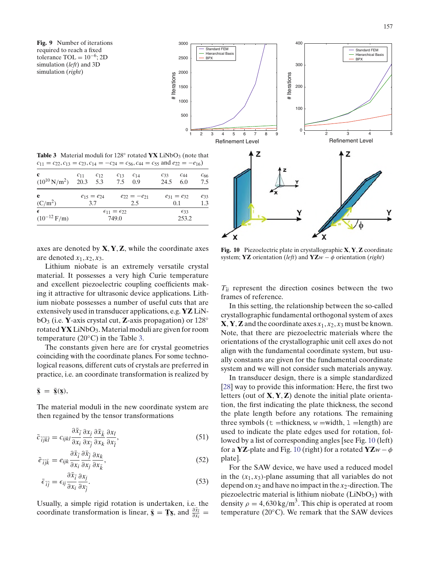<span id="page-12-1"></span>**Fig. 9** Number of iterations required to reach a fixed tolerance  $TOL = 10^{-6}$ ; 2D simulation (*left*) and 3D simulation (*right*)



<span id="page-12-0"></span>Table 3 Material moduli for 128° rotated YX LiNbO<sub>3</sub> (note that  $c_{11} = c_{22}, c_{13} = c_{23}, c_{14} = -c_{24} = c_{56}, c_{44} = c_{55}$  and  $e_{22} = -e_{16}$ )

 $\Omega$ 500

1000 1500 2000

# Iterations

2500 3000

| c<br>$(10^{10} \text{ N/m}^2)$ 20.3 5.3 | $c_{11}$ | $c_{12}$                 | $c_{13}$                                 | $c_{14}$<br>7.5 0.9       | $C_{33}$<br>24.5 | $C_{44}$<br>-6.0         | $c_{66}$<br>7.5 |
|-----------------------------------------|----------|--------------------------|------------------------------------------|---------------------------|------------------|--------------------------|-----------------|
| e<br>$(C/m^2)$                          |          | $e_{15} = e_{24}$<br>3.7 |                                          | $e_{22} = -e_{21}$<br>2.5 |                  | $e_{31} = e_{32}$<br>0.1 | $e_{33}$<br>1.3 |
| $\epsilon$<br>$(10^{-12} F/m)$          |          |                          | $\epsilon_{11} = \epsilon_{22}$<br>749.0 |                           |                  | $\epsilon_{33}$<br>253.2 |                 |

axes are denoted by **X**, **Y**, **Z**, while the coordinate axes are denoted  $x_1, x_2, x_3$ .

Lithium niobate is an extremely versatile crystal material. It possesses a very high Curie temperature and excellent piezoelectric coupling coefficients making it attractive for ultrasonic device applications. Lithium niobate possesses a number of useful cuts that are extensively used in transducer applications, e.g. **YZ** LiNbO<sup>3</sup> (i.e. **Y**-axis crystal cut, **Z**-axis propagation) or 128 ◦ rotated **YX** LiNbO3. Material moduli are given forroom temperature (20°C) in the Table [3.](#page-12-0)

The constants given here are for crystal geometries coinciding with the coordinate planes. For some technological reasons, different cuts of crystals are preferred in practice, i.e. an coordinate transformation is realized by

 $\bar{\mathbf{x}} = \bar{\mathbf{x}}(\mathbf{x}),$ 

The material moduli in the new coordinate system are then regained by the tensor transformations

$$
\bar{c}_{\overline{\mathit{i}}\overline{\mathit{j}}\overline{\mathit{k}}\overline{\mathit{l}}}=c_{\mathit{i}\mathit{j}\mathit{k}\mathit{l}}\frac{\partial \bar{x}_{\overline{\mathit{i}}}}{\partial x_i}\frac{\partial x_j}{\partial x_{\overline{\mathit{j}}}}\frac{\partial \bar{x}_{\overline{\mathit{k}}}}{\partial x_k}\frac{\partial x_l}{\partial x_{\overline{\mathit{l}}}},\tag{51}
$$

$$
\bar{e}_{\overline{i}\overline{j}\overline{k}} = e_{ijk} \frac{\partial \bar{x}_{\overline{i}}}{\partial x_i} \frac{\partial \bar{x}_{\overline{j}}}{\partial x_j} \frac{\partial x_k}{\partial x_{\overline{k}}},
$$
(52)

$$
\bar{\epsilon}_{\bar{i}\bar{j}} = \epsilon_{ij} \frac{\partial \bar{x}_{\bar{i}}}{\partial x_i} \frac{\partial x_j}{\partial x_{\bar{j}}}.
$$
\n(53)

Usually, a simple rigid rotation is undertaken, i.e. the coordinate transformation is linear,  $\bar{\mathbf{x}} = \mathbf{T}\mathbf{x}$ , and  $\frac{\partial \bar{x}_i}{\partial x_i} =$ 

<span id="page-12-2"></span>**Fig. 10** Piezoelectric plate in crystallographic **X**, **Y**, **Z** coordinate system; **YZ** orientation (*left*) and **YZ***w* − φ orientation (*right*)

 $T_{ii}$  represent the direction cosines between the two frames of reference.

In this setting, the relationship between the so-called crystallographic fundamental orthogonal system of axes **X**, **Y**, **Z** and the coordinate axes  $x_1, x_2, x_3$  must be known. Note, that there are piezoelectric materials where the orientations of the crystallographic unit cell axes do not align with the fundamental coordinate system, but usually constants are given for the fundamental coordinate system and we will not consider such materials anyway.

In transducer design, there is a simple standardized [\[28](#page-15-36)] way to provide this information: Here, the first two letters (out of **X**, **Y**, **Z**) denote the initial plate orientation, the first indicating the plate thickness, the second the plate length before any rotations. The remaining three symbols ( $t =$ thickness, w =width, 1 =length) are used to indicate the plate edges used for rotation, followed by a list of corresponding angles [see Fig. [10](#page-12-2) (left) for a **YZ**-plate and Fig. [10](#page-12-2) (right) for a rotated **YZ** $w - \phi$ plate].

For the SAW device, we have used a reduced model in the  $(x_1, x_3)$ -plane assuming that all variables do not depend on  $x_2$  and have no impact in the  $x_2$ -direction. The piezoelectric material is lithium niobate ( $LiNbO<sub>3</sub>$ ) with density  $\rho = 4,630 \text{ kg/m}^3$ . This chip is operated at room temperature (20°C). We remark that the SAW devices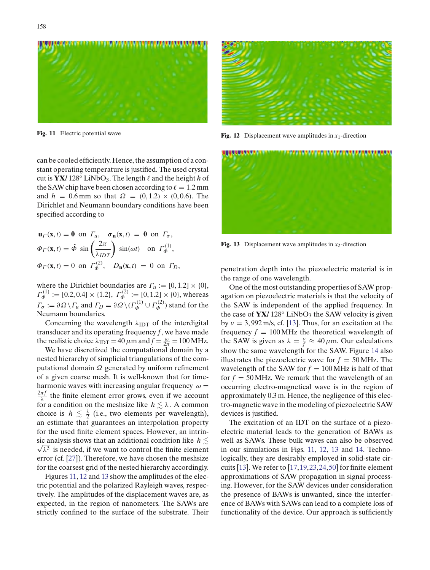

<span id="page-13-0"></span>**Fig. 11** Electric potential wave

can be cooled efficiently. Hence, the assumption of a constant operating temperature is justified. The used crystal cut is  $\mathbf{Y} \mathbf{X}$ *l* 128° LiNbO<sub>3</sub>. The length  $\ell$  and the height *h* of the SAW chip have been chosen according to  $\ell = 1.2$  mm and  $h = 0.6$  mm so that  $\Omega = (0, 1.2) \times (0, 0.6)$ . The Dirichlet and Neumann boundary conditions have been specified according to

$$
\mathbf{u}_{\Gamma}(\mathbf{x},t) = \mathbf{0} \text{ on } \Gamma_u, \quad \sigma_{\mathbf{n}}(\mathbf{x},t) = \mathbf{0} \text{ on } \Gamma_{\sigma},
$$
  

$$
\Phi_{\Gamma}(\mathbf{x},t) = \hat{\Phi} \sin\left(\frac{2\pi}{\lambda_{\text{IDT}}}\right) \sin(\omega t) \text{ on } \Gamma_{\Phi}^{(1)},
$$
  

$$
\Phi_{\Gamma}(\mathbf{x},t) = 0 \text{ on } \Gamma_{\Phi}^{(2)}, \quad D_{\mathbf{n}}(\mathbf{x},t) = 0 \text{ on } \Gamma_D,
$$

where the Dirichlet boundaries are  $\Gamma_u := [0, 1.2] \times \{0\}$ ,  $\Gamma_{\Phi}^{(1)}$  $\sigma_{\Phi}^{(1)} := [0.2, 0.4] \times \{1.2\}, \ \Gamma_{\Phi}^{(2)}$  $\sigma_{\Phi}^{(2)} := [0, 1.2] \times \{0\}$ , whereas  $\Gamma_{\sigma} := \partial \Omega \setminus \Gamma_u$  and  $\Gamma_D = \partial \Omega \setminus (\Gamma_{\Phi}^{(1)} \cup \Gamma_{\Phi}^{(2)})$  $\mathcal{P}_{\phi}^{(2)}$ ) stand for the Neumann boundaries.

Concerning the wavelength  $\lambda_{\text{IDT}}$  of the interdigital transducer and its operating frequency *f*, we have made the realistic choice  $\lambda_{\text{IDT}} = 40 \,\mu\text{m}$  and  $f = \frac{\omega}{2\pi} = 100 \,\text{MHz}$ .

We have discretized the computational domain by a nested hierarchy of simplicial triangulations of the computational domain Ω generated by uniform refinement of a given coarse mesh. It is well-known that for timeharmonic waves with increasing angular frequency  $\omega =$ 2π*f*  $\frac{\partial f}{\partial \lambda}$  the finite element error grows, even if we account for a condition on the meshsize like  $h \leq \lambda$ . A common choice is  $h \leq \frac{\lambda}{2}$  (i.e., two elements per wavelength), an estimate that guarantees an interpolation property for the used finite element spaces. However, an intrinsic analysis shows that an additional condition like  $h \lesssim$  $\lambda^3$  is needed, if we want to control the finite element error (cf. [\[27\]](#page-15-37)). Therefore, we have chosen the meshsize for the coarsest grid of the nested hierarchy accordingly.

Figures [11,](#page-13-0) [12](#page-13-1) and [13](#page-13-2) show the amplitudes of the electric potential and the polarized Rayleigh waves, respectively. The amplitudes of the displacement waves are, as expected, in the region of nanometers. The SAWs are strictly confined to the surface of the substrate. Their



**Fig. 12** Displacement wave amplitudes in  $x_1$ -direction

<span id="page-13-1"></span>

**Fig. 13** Displacement wave amplitudes in  $x_2$ -direction

<span id="page-13-2"></span>penetration depth into the piezoelectric material is in the range of one wavelength.

One of the most outstanding properties of SAW propagation on piezoelectric materials is that the velocity of the SAW is independent of the applied frequency. In the case of YX<sup>*l*</sup> 128° LiNbO<sub>3</sub> the SAW velocity is given by  $v = 3,992$  m/s, cf. [\[13](#page-15-3)]. Thus, for an excitation at the frequency  $f = 100 \text{ MHz}$  the theoretical wavelength of the SAW is given as  $\lambda = \frac{v}{f} \approx 40 \,\mu \text{m}$ . Our calculations show the same wavelength for the SAW. Figure [14](#page-14-5) also illustrates the piezoelectric wave for  $f = 50$  MHz. The wavelength of the SAW for  $f = 100$  MHz is half of that for  $f = 50$  MHz. We remark that the wavelength of an occurring electro-magnetical wave is in the region of approximately 0.3 m. Hence, the negligence of this electro-magnetic wave in the modeling of piezoelectric SAW devices is justified.

The excitation of an IDT on the surface of a piezoelectric material leads to the generation of BAWs as well as SAWs. These bulk waves can also be observed in our simulations in Figs. [11,](#page-13-0) [12,](#page-13-1) [13](#page-13-2) and [14.](#page-14-5) Technologically, they are desirably employed in solid-state cir-cuits [\[13](#page-15-3)]. We refer to  $[17, 19, 23, 24, 50]$  $[17, 19, 23, 24, 50]$  $[17, 19, 23, 24, 50]$  $[17, 19, 23, 24, 50]$  $[17, 19, 23, 24, 50]$  $[17, 19, 23, 24, 50]$  $[17, 19, 23, 24, 50]$  for finite element approximations of SAW propagation in signal processing. However, for the SAW devices under consideration the presence of BAWs is unwanted, since the interference of BAWs with SAWs can lead to a complete loss of functionality of the device. Our approach is sufficiently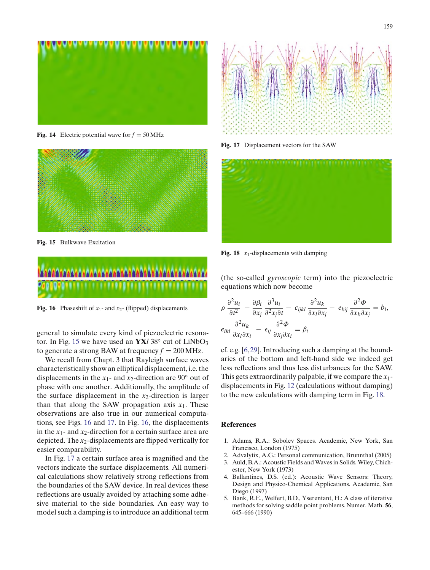

**Fig. 14** Electric potential wave for  $f = 50$  MHz

<span id="page-14-5"></span>

**Fig. 15** Bulkwave Excitation

<span id="page-14-6"></span>

<span id="page-14-7"></span>**Fig.** 16 Phaseshift of  $x_1$ - and  $x_2$ - (flipped) displacements

general to simulate every kind of piezoelectric resona-tor. In Fig. [15](#page-14-6) we have used an YX*l* 38° cut of LiNbO<sub>3</sub> to generate a strong BAW at frequency  $f = 200 \text{ MHz}$ .

We recall from Chapt. 3 that Rayleigh surface waves characteristically show an elliptical displacement, i.e.the displacements in the  $x_1$ - and  $x_2$ -direction are 90 $\degree$  out of phase with one another. Additionally, the amplitude of the surface displacement in the  $x_2$ -direction is larger than that along the SAW propagation axis  $x_1$ . These observations are also true in our numerical computations, see Figs. [16](#page-14-7) and [17.](#page-14-8) In Fig. [16,](#page-14-7) the displacements in the *x*1- and *x*2-direction for a certain surface area are depicted. The *x*2-displacements are flipped vertically for easier comparability.

In Fig. [17](#page-14-8) a certain surface area is magnified and the vectors indicate the surface displacements. All numerical calculations show relatively strong reflections from the boundaries of the SAW device. In real devices these reflections are usually avoided by attaching some adhesive material to the side boundaries. An easy way to model such a damping is to introduce an additional term



**Fig. 17** Displacement vectors for the SAW

<span id="page-14-8"></span>

**Fig. 18** *x*1-displacements with damping

<span id="page-14-9"></span>(the so-called *gyroscopic* term) into the piezoelectric equations which now become

$$
\rho \frac{\partial^2 u_i}{\partial t^2} - \frac{\partial \beta_i}{\partial x_j} \frac{\partial^3 u_i}{\partial^2 x_j \partial t} - c_{ijkl} \frac{\partial^2 u_k}{\partial x_l \partial x_j} - e_{kij} \frac{\partial^2 \Phi}{\partial x_k \partial x_j} = b_i,
$$
  

$$
e_{ikl} \frac{\partial^2 u_k}{\partial x_l \partial x_i} - \epsilon_{ij} \frac{\partial^2 \Phi}{\partial x_j \partial x_i} = \beta_i
$$

cf. e.g. [\[6](#page-15-43),[29\]](#page-15-44). Introducing such a damping at the boundaries of the bottom and left-hand side we indeed get less reflections and thus less disturbances for the SAW. This gets extraordinarily palpable, if we compare the *x*1 displacements in Fig. [12](#page-13-1) (calculations without damping) to the new calculations with damping term in Fig. [18.](#page-14-9)

#### **References**

- <span id="page-14-3"></span>1. Adams, R.A.: Sobolev Spaces. Academic, New York, San Francisco, London (1975)
- 2. Advalytix, A.G.: Personal communication, Brunnthal (2005)
- <span id="page-14-2"></span><span id="page-14-0"></span>3. Auld, B.A.: Acoustic Fields and Wavesin Solids. Wiley, Chichester, New York (1973)
- <span id="page-14-1"></span>4. Ballantines, D.S. (ed.): Acoustic Wave Sensors: Theory, Design and Physico-Chemical Applications. Academic, San Diego (1997)
- <span id="page-14-4"></span>5. Bank, R.E., Welfert, B.D., Yserentant, H.: A class of iterative methods for solving saddle point problems. Numer. Math. **56**, 645–666 (1990)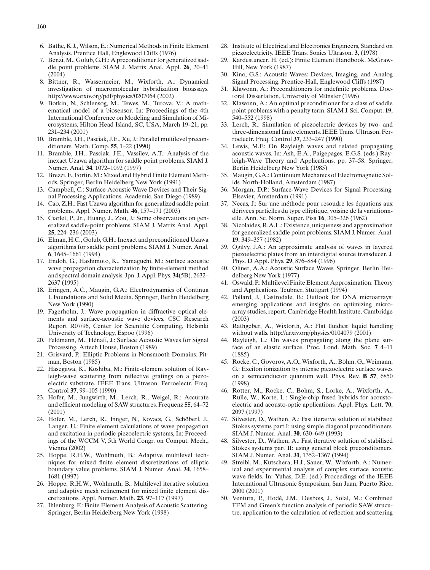- <span id="page-15-43"></span>6. Bathe, K.J., Wilson, E.: Numerical Methods in Finite Element Analysis. Prentice Hall, Englewood Cliffs (1976)
- <span id="page-15-25"></span>7. Benzi, M., Golub, G.H.: A preconditioner for generalized saddle point problems. SIAM J. Matrix Anal. Appl. **26**, 20–41 (2004)
- <span id="page-15-1"></span>8. Bittner, R., Wassermeier, M., Wixforth, A.: Dynamical investigation of macromolecular hybridization bioassays. http://www.arxiv.org/pdf/physics/0207064 (2002)
- <span id="page-15-6"></span>9. Botkin, N., Schlensog, M., Tewes, M., Turova, V.: A mathematical model of a biosensor. In: Proceedings of the 4th International Conference on Modeling and Simulation of Microsystems, Hilton Head Island, SC, USA, March 19–21, pp. 231–234 (2001)
- <span id="page-15-34"></span>10. Bramble, J.H., Pasciak, J.E., Xu, J.: Parallel multilevel preconditioners. Math. Comp. **55**, 1–22 (1990)
- <span id="page-15-28"></span>11. Bramble, J.H., Pasciak, J.E., Vassilev, A.T.: Analysis of the inexact Uzawa algorithm for saddle point problems. SIAM J. Numer. Anal. **34**, 1072–1092 (1997)
- <span id="page-15-21"></span>12. Brezzi, F., Fortin, M.: Mixed and Hybrid Finite Element Methods. Springer, Berlin Heidelberg New York (1991)
- <span id="page-15-3"></span>13. Campbell, C.: Surface Acoustic Wave Devices and Their Signal Processing Applications. Academic, San Diego (1989)
- <span id="page-15-29"></span>14. Cao, Z.H.: Fast Uzawa algorithm for generalized saddle point problems. Appl. Numer. Math. **46**, 157–171 (2003)
- <span id="page-15-26"></span>15. Ciarlet, P., Jr., Huang, J., Zou, J.: Some observations on generalized saddle-point problems. SIAM J. Matrix Anal. Appl. **25**, 224–236 (2003)
- <span id="page-15-30"></span>16. Elman, H.C., Golub, G.H.: Inexact and preconditioned Uzawa algorithms for saddle point problems. SIAM J. Numer. Anal. **6**, 1645–1661 (1994)
- <span id="page-15-38"></span>17. Endoh, G., Hashimoto, K., Yamaguchi, M.: Surface acoustic wave propagation characterization by finite-element method and spectral domain analysis. Jpn. J. Appl. Phys. **34**(5B), 2632– 2637 (1995)
- <span id="page-15-10"></span>18. Eringen, A.C., Maugin, G.A.: Electrodynamics of Continua I. Foundations and Solid Media. Springer, Berlin Heidelberg New York (1990)
- <span id="page-15-39"></span>19. Fagerholm, J.: Wave propagation in diffractive optical elements and surface-acoustic wave devices. CSC Research Report R07/96, Center for Scientific Computing, Helsinki University of Technology, Espoo (1996)
- <span id="page-15-13"></span>20. Feldmann, M., Hénaff, J.: Surface Acoustic Waves for Signal Processing. Artech House, Boston (1989)
- <span id="page-15-19"></span>21. Grisvard, P.: Elliptic Problems in Nonsmooth Domains. Pitman, Boston (1985)
- <span id="page-15-14"></span>22. Hasegawa, K., Koshiba, M.: Finite-element solution of Rayleigh-wave scattering from reflective gratings on a piezoelectric substrate. IEEE Trans. Ultrason. Ferroelectr. Freq. Control **37**, 99–105 (1990)
- <span id="page-15-40"></span>23. Hofer, M., Jungwirth, M., Lerch, R., Weigel, R.: Accurate and efficient modeling of SAW structures. Frequenz **55**, 64–72 (2001)
- <span id="page-15-41"></span>24. Hofer, M., Lerch, R., Finger, N., Kovacs, G., Schöberl, J., Langer, U.: Finite element calculations of wave propagation and excitation in periodic piezoelectric systems, In: Proceedings of the WCCM V, 5th World Congr. on Comput. Mech., Vienna (2002)
- <span id="page-15-31"></span>25. Hoppe, R.H.W., Wohlmuth, B.: Adaptive multilevel techniques for mixed finite element discretizations of elliptic boundary value problems. SIAM J. Numer. Anal. **34**, 1658– 1681 (1997)
- <span id="page-15-32"></span>26. Hoppe, R.H.W., Wohlmuth, B.: Multilevel iterative solution and adaptive mesh refinement for mixed finite element discretizations. Appl. Numer. Math. **23**, 97–117 (1997)
- <span id="page-15-37"></span>27. Ihlenburg, F.: Finite Element Analysis of Acoustic Scattering. Springer, Berlin Heidelberg New York (1998)
- <span id="page-15-36"></span>28. Institute of Electrical and Electronics Engineers, Standard on piezoelectricity. IEEE Trans. Sonics Ultrason. **3**, (1978)
- <span id="page-15-44"></span>29. Kardestuncer, H. (ed.): Finite Element Handbook. McGraw-Hill, New York (1987)
- <span id="page-15-15"></span>30. Kino, G.S.: Acoustic Waves: Devices, Imaging, and Analog Signal Processing. Prentice-Hall, Englewood Cliffs (1987)
- <span id="page-15-22"></span>31. Klawonn, A.: Preconditioners for indefinite problems. Doctoral Dissertation, University of Münster (1996)
- <span id="page-15-33"></span>32. Klawonn, A.: An optimal preconditioner for a class of saddle point problems with a penalty term. SIAM J. Sci. Comput. **19**, 540–552 (1998)
- <span id="page-15-16"></span>33. Lerch, R.: Simulation of piezoelectric devices by two- and three-dimensional finite elements.IEEE Trans. Ultrason. Ferroelectr. Freq. Control **37**, 233–247 (1990)
- <span id="page-15-18"></span>34. Lewis, M.F.: On Rayleigh waves and related propagating acoustic waves. In: Ash, E.A., Paigepages, E.G.S. (eds.) Rayleigh-Wave Theory and Applications, pp. 37–58. Springer, Berlin Heidelberg New York (1985)
- <span id="page-15-11"></span>35. Maugin, G.A.: Continuum Mechanics of Electromagnetic Solids. North-Holland, Amsterdam (1987)
- <span id="page-15-4"></span>36. Morgan, D.P.: Surface-Wave Devices for Signal Processing. Elsevier, Amsterdam (1991)
- <span id="page-15-20"></span>37. Necas, J.: Sur une méthode pour resoudre les équations aux dérivées partielles du type elliptique, voisine de la variationnelle. Ann. Sc. Norm. Super. Pisa **16**, 305–326 (1962)
- <span id="page-15-27"></span>38. Nicolaides, R.A.L.: Existence, uniqueness and approximation for generalized saddle point problems. SIAM J. Numer. Anal. **19**, 349–357 (1982)
- <span id="page-15-17"></span>39. Ogilvy, J.A.: An approximate analysis of waves in layered piezoelectric plates from an interdigital source transducer. J. Phys. D Appl. Phys. **29**, 876–884 (1996)
- <span id="page-15-5"></span>40. Oliner, A.A.: Acoustic Surface Waves. Springer, Berlin Heidelberg New York (1977)
- <span id="page-15-35"></span>41. Oswald, P.: Multilevel Finite Element Approximation: Theory and Applications. Teubner, Stuttgart (1994)
- <span id="page-15-0"></span>42. Pollard, J., Castrodale, B.: Outlook for DNA microarrays: emerging applications and insights on optimizing microarray studies, report. Cambridge Health Institute, Cambridge (2003)
- <span id="page-15-2"></span>43. Rathgeber, A., Wixforth, A.: Flat fluidics: liquid handling without walls. http://arxiv.org/physics/0104079 (2001)
- <span id="page-15-12"></span>44. Rayleigh, L.: On waves propagating along the plane surface of an elastic surface. Proc. Lond. Math. Soc. **7** 4–11 (1885)
- <span id="page-15-7"></span>45. Rocke, C., Govorov, A.O., Wixforth, A., Böhm, G., Weimann, G.: Exciton ionization by intense piezoelectric surface waves on a semiconductor quantum well. Phys. Rev. **B 57**, 6850 (1998)
- <span id="page-15-8"></span>46. Rotter, M., Rocke, C., Böhm, S., Lorke, A., Wixforth, A., Rulle, W., Korte, L.: Single-chip fused hybrids for acoustoelectric and acousto-optic applications. Appl. Phys. Lett. **70**, 2097 (1997)
- <span id="page-15-23"></span>47. Silvester, D., Wathen, A.: Fast iterative solution of stabilised Stokes systems part I: using simple diagonal preconditioners. SIAM J. Numer. Anal. **30**, 630–649 (1993)
- <span id="page-15-24"></span>48. Silvester, D., Wathen, A.: Fast iterative solution of stabilised Stokes systems part II: using general block preconditioners. SIAM J. Numer. Anal. **31**, 1352–1367 (1994)
- <span id="page-15-9"></span>49. Streibl, M., Kutschera, H.J., Sauer, W., Wixforth, A.: Numerical and experimental analysis of complex surface acoustic wave fields. In: Yuhas, D.E. (ed.) Proceedings of the IEEE International Ultrasonic Symposium, San Juan, Puerto Rico, 2000 (2001)
- <span id="page-15-42"></span>50. Ventura, P., Hodé, J.M., Desbois, J., Solal, M.: Combined FEM and Green's function analysis of periodic SAW strucutre, application to the calculation of reflection and scattering